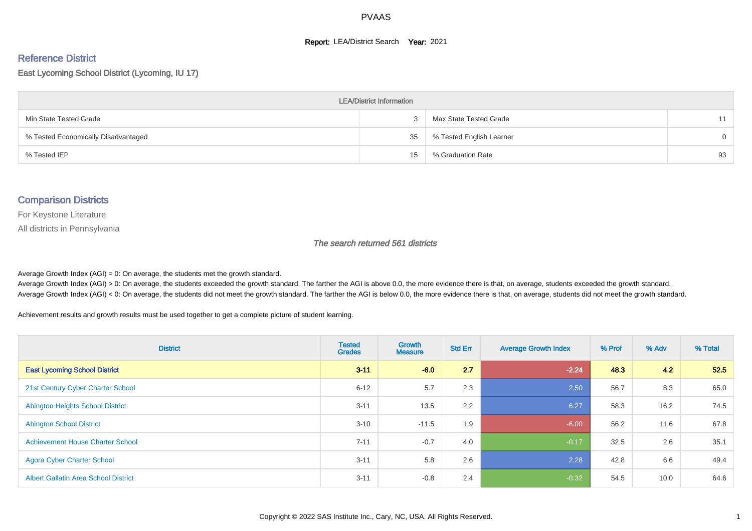#### **Report: LEA/District Search Year: 2021**

# Reference District

East Lycoming School District (Lycoming, IU 17)

| <b>LEA/District Information</b>     |    |                          |          |  |  |  |  |  |  |  |
|-------------------------------------|----|--------------------------|----------|--|--|--|--|--|--|--|
| Min State Tested Grade              |    | Max State Tested Grade   | 11       |  |  |  |  |  |  |  |
| % Tested Economically Disadvantaged | 35 | % Tested English Learner | $\Omega$ |  |  |  |  |  |  |  |
| % Tested IEP                        | 15 | % Graduation Rate        | 93       |  |  |  |  |  |  |  |

#### Comparison Districts

For Keystone Literature

All districts in Pennsylvania

The search returned 561 districts

Average Growth Index  $(AGI) = 0$ : On average, the students met the growth standard.

Average Growth Index (AGI) > 0: On average, the students exceeded the growth standard. The farther the AGI is above 0.0, the more evidence there is that, on average, students exceeded the growth standard. Average Growth Index (AGI) < 0: On average, the students did not meet the growth standard. The farther the AGI is below 0.0, the more evidence there is that, on average, students did not meet the growth standard.

Achievement results and growth results must be used together to get a complete picture of student learning.

| <b>District</b>                             | <b>Tested</b><br><b>Grades</b> | <b>Growth</b><br><b>Measure</b> | <b>Std Err</b> | <b>Average Growth Index</b> | % Prof | % Adv | % Total |
|---------------------------------------------|--------------------------------|---------------------------------|----------------|-----------------------------|--------|-------|---------|
| <b>East Lycoming School District</b>        | $3 - 11$                       | $-6.0$                          | 2.7            | $-2.24$                     | 48.3   | 4.2   | 52.5    |
| 21st Century Cyber Charter School           | $6 - 12$                       | 5.7                             | 2.3            | 2.50                        | 56.7   | 8.3   | 65.0    |
| <b>Abington Heights School District</b>     | $3 - 11$                       | 13.5                            | 2.2            | 6.27                        | 58.3   | 16.2  | 74.5    |
| <b>Abington School District</b>             | $3 - 10$                       | $-11.5$                         | 1.9            | $-6.00$                     | 56.2   | 11.6  | 67.8    |
| <b>Achievement House Charter School</b>     | $7 - 11$                       | $-0.7$                          | 4.0            | $-0.17$                     | 32.5   | 2.6   | 35.1    |
| <b>Agora Cyber Charter School</b>           | $3 - 11$                       | 5.8                             | 2.6            | 2.28                        | 42.8   | 6.6   | 49.4    |
| <b>Albert Gallatin Area School District</b> | $3 - 11$                       | $-0.8$                          | 2.4            | $-0.32$                     | 54.5   | 10.0  | 64.6    |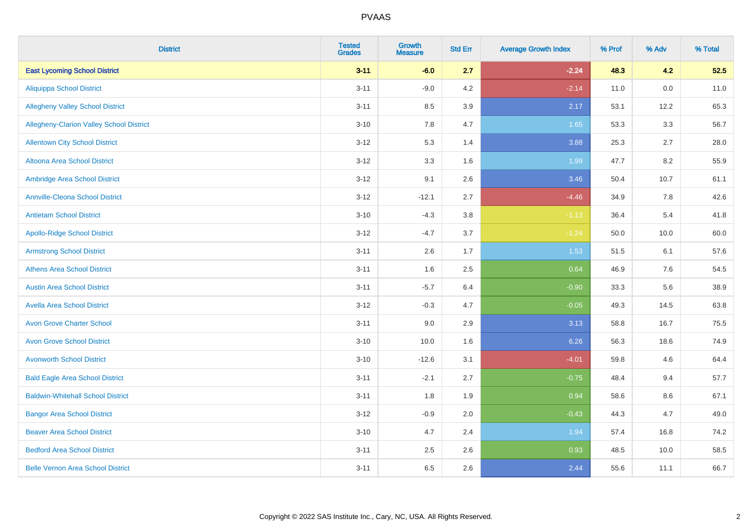| <b>District</b>                          | <b>Tested</b><br><b>Grades</b> | <b>Growth</b><br><b>Measure</b> | <b>Std Err</b> | <b>Average Growth Index</b> | % Prof | % Adv | % Total |
|------------------------------------------|--------------------------------|---------------------------------|----------------|-----------------------------|--------|-------|---------|
| <b>East Lycoming School District</b>     | $3 - 11$                       | $-6.0$                          | 2.7            | $-2.24$                     | 48.3   | 4.2   | 52.5    |
| <b>Aliquippa School District</b>         | $3 - 11$                       | $-9.0$                          | 4.2            | $-2.14$                     | 11.0   | 0.0   | 11.0    |
| <b>Allegheny Valley School District</b>  | $3 - 11$                       | 8.5                             | 3.9            | 2.17                        | 53.1   | 12.2  | 65.3    |
| Allegheny-Clarion Valley School District | $3 - 10$                       | $7.8\,$                         | 4.7            | 1.65                        | 53.3   | 3.3   | 56.7    |
| <b>Allentown City School District</b>    | $3 - 12$                       | 5.3                             | 1.4            | 3.88                        | 25.3   | 2.7   | 28.0    |
| Altoona Area School District             | $3 - 12$                       | 3.3                             | 1.6            | 1.99                        | 47.7   | 8.2   | 55.9    |
| Ambridge Area School District            | $3 - 12$                       | 9.1                             | 2.6            | 3.46                        | 50.4   | 10.7  | 61.1    |
| <b>Annville-Cleona School District</b>   | $3 - 12$                       | $-12.1$                         | 2.7            | $-4.46$                     | 34.9   | 7.8   | 42.6    |
| <b>Antietam School District</b>          | $3 - 10$                       | $-4.3$                          | 3.8            | $-1.13$                     | 36.4   | 5.4   | 41.8    |
| <b>Apollo-Ridge School District</b>      | $3 - 12$                       | $-4.7$                          | 3.7            | $-1.24$                     | 50.0   | 10.0  | 60.0    |
| <b>Armstrong School District</b>         | $3 - 11$                       | 2.6                             | 1.7            | 1.53                        | 51.5   | 6.1   | 57.6    |
| <b>Athens Area School District</b>       | $3 - 11$                       | 1.6                             | 2.5            | 0.64                        | 46.9   | 7.6   | 54.5    |
| <b>Austin Area School District</b>       | $3 - 11$                       | $-5.7$                          | 6.4            | $-0.90$                     | 33.3   | 5.6   | 38.9    |
| <b>Avella Area School District</b>       | $3 - 12$                       | $-0.3$                          | 4.7            | $-0.05$                     | 49.3   | 14.5  | 63.8    |
| <b>Avon Grove Charter School</b>         | $3 - 11$                       | 9.0                             | 2.9            | 3.13                        | 58.8   | 16.7  | 75.5    |
| <b>Avon Grove School District</b>        | $3 - 10$                       | 10.0                            | 1.6            | 6.26                        | 56.3   | 18.6  | 74.9    |
| <b>Avonworth School District</b>         | $3 - 10$                       | $-12.6$                         | 3.1            | $-4.01$                     | 59.8   | 4.6   | 64.4    |
| <b>Bald Eagle Area School District</b>   | $3 - 11$                       | $-2.1$                          | 2.7            | $-0.75$                     | 48.4   | 9.4   | 57.7    |
| <b>Baldwin-Whitehall School District</b> | $3 - 11$                       | 1.8                             | 1.9            | 0.94                        | 58.6   | 8.6   | 67.1    |
| <b>Bangor Area School District</b>       | $3 - 12$                       | $-0.9$                          | 2.0            | $-0.43$                     | 44.3   | 4.7   | 49.0    |
| <b>Beaver Area School District</b>       | $3 - 10$                       | 4.7                             | 2.4            | 1.94                        | 57.4   | 16.8  | 74.2    |
| <b>Bedford Area School District</b>      | $3 - 11$                       | 2.5                             | 2.6            | 0.93                        | 48.5   | 10.0  | 58.5    |
| <b>Belle Vernon Area School District</b> | $3 - 11$                       | 6.5                             | 2.6            | 2.44                        | 55.6   | 11.1  | 66.7    |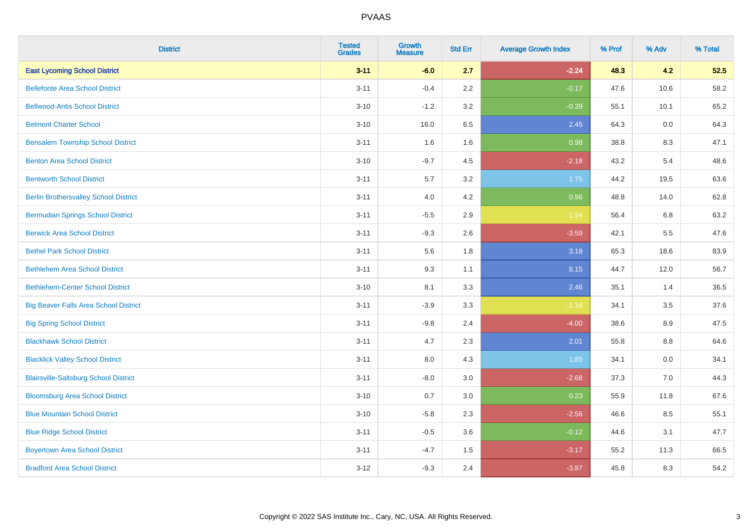| <b>District</b>                              | <b>Tested</b><br><b>Grades</b> | <b>Growth</b><br><b>Measure</b> | <b>Std Err</b> | <b>Average Growth Index</b> | % Prof | % Adv | % Total |
|----------------------------------------------|--------------------------------|---------------------------------|----------------|-----------------------------|--------|-------|---------|
| <b>East Lycoming School District</b>         | $3 - 11$                       | $-6.0$                          | 2.7            | $-2.24$                     | 48.3   | 4.2   | 52.5    |
| <b>Bellefonte Area School District</b>       | $3 - 11$                       | $-0.4$                          | 2.2            | $-0.17$                     | 47.6   | 10.6  | 58.2    |
| <b>Bellwood-Antis School District</b>        | $3 - 10$                       | $-1.2$                          | 3.2            | $-0.39$                     | 55.1   | 10.1  | 65.2    |
| <b>Belmont Charter School</b>                | $3 - 10$                       | 16.0                            | 6.5            | 2.45                        | 64.3   | 0.0   | 64.3    |
| <b>Bensalem Township School District</b>     | $3 - 11$                       | 1.6                             | 1.6            | 0.98                        | 38.8   | 8.3   | 47.1    |
| <b>Benton Area School District</b>           | $3 - 10$                       | $-9.7$                          | 4.5            | $-2.18$                     | 43.2   | 5.4   | 48.6    |
| <b>Bentworth School District</b>             | $3 - 11$                       | 5.7                             | 3.2            | 1.75                        | 44.2   | 19.5  | 63.6    |
| <b>Berlin Brothersvalley School District</b> | $3 - 11$                       | 4.0                             | 4.2            | 0.96                        | 48.8   | 14.0  | 62.8    |
| <b>Bermudian Springs School District</b>     | $3 - 11$                       | $-5.5$                          | 2.9            | $-1.94$                     | 56.4   | 6.8   | 63.2    |
| <b>Berwick Area School District</b>          | $3 - 11$                       | $-9.3$                          | 2.6            | $-3.59$                     | 42.1   | 5.5   | 47.6    |
| <b>Bethel Park School District</b>           | $3 - 11$                       | 5.6                             | 1.8            | 3.18                        | 65.3   | 18.6  | 83.9    |
| <b>Bethlehem Area School District</b>        | $3 - 11$                       | 9.3                             | 1.1            | 8.15                        | 44.7   | 12.0  | 56.7    |
| <b>Bethlehem-Center School District</b>      | $3 - 10$                       | 8.1                             | 3.3            | 2.46                        | 35.1   | 1.4   | 36.5    |
| <b>Big Beaver Falls Area School District</b> | $3 - 11$                       | $-3.9$                          | 3.3            | $-1.18$                     | 34.1   | 3.5   | 37.6    |
| <b>Big Spring School District</b>            | $3 - 11$                       | $-9.8$                          | 2.4            | $-4.00$                     | 38.6   | 8.9   | 47.5    |
| <b>Blackhawk School District</b>             | $3 - 11$                       | 4.7                             | 2.3            | 2.01                        | 55.8   | 8.8   | 64.6    |
| <b>Blacklick Valley School District</b>      | $3 - 11$                       | 8.0                             | 4.3            | 1.85                        | 34.1   | 0.0   | 34.1    |
| <b>Blairsville-Saltsburg School District</b> | $3 - 11$                       | $-8.0$                          | 3.0            | $-2.68$                     | 37.3   | 7.0   | 44.3    |
| <b>Bloomsburg Area School District</b>       | $3 - 10$                       | 0.7                             | 3.0            | 0.23                        | 55.9   | 11.8  | 67.6    |
| <b>Blue Mountain School District</b>         | $3 - 10$                       | $-5.8$                          | 2.3            | $-2.56$                     | 46.6   | 8.5   | 55.1    |
| <b>Blue Ridge School District</b>            | $3 - 11$                       | $-0.5$                          | 3.6            | $-0.12$                     | 44.6   | 3.1   | 47.7    |
| <b>Boyertown Area School District</b>        | $3 - 11$                       | $-4.7$                          | 1.5            | $-3.17$                     | 55.2   | 11.3  | 66.5    |
| <b>Bradford Area School District</b>         | $3 - 12$                       | $-9.3$                          | 2.4            | $-3.87$                     | 45.8   | 8.3   | 54.2    |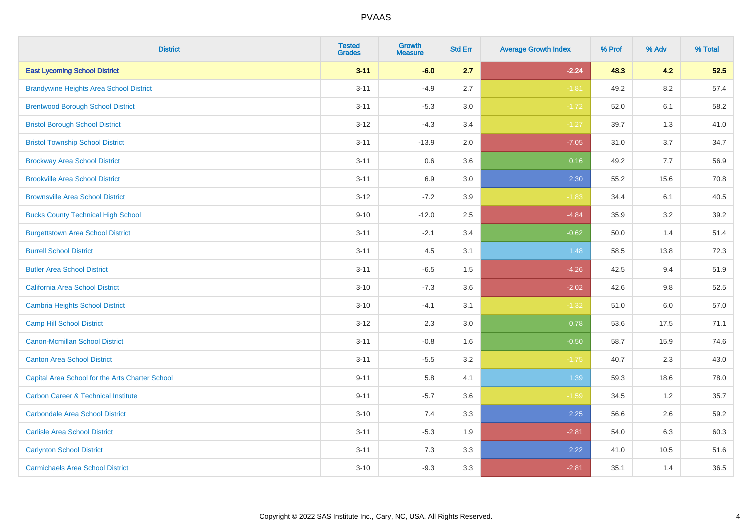| <b>District</b>                                 | <b>Tested</b><br><b>Grades</b> | <b>Growth</b><br><b>Measure</b> | <b>Std Err</b> | <b>Average Growth Index</b> | % Prof | % Adv   | % Total |
|-------------------------------------------------|--------------------------------|---------------------------------|----------------|-----------------------------|--------|---------|---------|
| <b>East Lycoming School District</b>            | $3 - 11$                       | $-6.0$                          | 2.7            | $-2.24$                     | 48.3   | 4.2     | 52.5    |
| <b>Brandywine Heights Area School District</b>  | $3 - 11$                       | $-4.9$                          | 2.7            | $-1.81$                     | 49.2   | 8.2     | 57.4    |
| <b>Brentwood Borough School District</b>        | $3 - 11$                       | $-5.3$                          | 3.0            | $-1.72$                     | 52.0   | 6.1     | 58.2    |
| <b>Bristol Borough School District</b>          | $3 - 12$                       | $-4.3$                          | 3.4            | $-1.27$                     | 39.7   | 1.3     | 41.0    |
| <b>Bristol Township School District</b>         | $3 - 11$                       | $-13.9$                         | 2.0            | $-7.05$                     | 31.0   | 3.7     | 34.7    |
| <b>Brockway Area School District</b>            | $3 - 11$                       | 0.6                             | 3.6            | 0.16                        | 49.2   | 7.7     | 56.9    |
| <b>Brookville Area School District</b>          | $3 - 11$                       | 6.9                             | 3.0            | 2.30                        | 55.2   | 15.6    | 70.8    |
| <b>Brownsville Area School District</b>         | $3 - 12$                       | $-7.2$                          | 3.9            | $-1.83$                     | 34.4   | 6.1     | 40.5    |
| <b>Bucks County Technical High School</b>       | $9 - 10$                       | $-12.0$                         | 2.5            | $-4.84$                     | 35.9   | 3.2     | 39.2    |
| <b>Burgettstown Area School District</b>        | $3 - 11$                       | $-2.1$                          | 3.4            | $-0.62$                     | 50.0   | 1.4     | 51.4    |
| <b>Burrell School District</b>                  | $3 - 11$                       | 4.5                             | 3.1            | 1.48                        | 58.5   | 13.8    | 72.3    |
| <b>Butler Area School District</b>              | $3 - 11$                       | $-6.5$                          | 1.5            | $-4.26$                     | 42.5   | 9.4     | 51.9    |
| California Area School District                 | $3 - 10$                       | $-7.3$                          | 3.6            | $-2.02$                     | 42.6   | 9.8     | 52.5    |
| <b>Cambria Heights School District</b>          | $3 - 10$                       | $-4.1$                          | 3.1            | $-1.32$                     | 51.0   | $6.0\,$ | 57.0    |
| <b>Camp Hill School District</b>                | $3 - 12$                       | 2.3                             | 3.0            | 0.78                        | 53.6   | 17.5    | 71.1    |
| Canon-Mcmillan School District                  | $3 - 11$                       | $-0.8$                          | 1.6            | $-0.50$                     | 58.7   | 15.9    | 74.6    |
| <b>Canton Area School District</b>              | $3 - 11$                       | $-5.5$                          | 3.2            | $-1.75$                     | 40.7   | 2.3     | 43.0    |
| Capital Area School for the Arts Charter School | $9 - 11$                       | 5.8                             | 4.1            | 1.39                        | 59.3   | 18.6    | 78.0    |
| <b>Carbon Career &amp; Technical Institute</b>  | $9 - 11$                       | $-5.7$                          | 3.6            | $-1.59$                     | 34.5   | 1.2     | 35.7    |
| <b>Carbondale Area School District</b>          | $3 - 10$                       | 7.4                             | 3.3            | 2.25                        | 56.6   | 2.6     | 59.2    |
| <b>Carlisle Area School District</b>            | $3 - 11$                       | $-5.3$                          | 1.9            | $-2.81$                     | 54.0   | 6.3     | 60.3    |
| <b>Carlynton School District</b>                | $3 - 11$                       | 7.3                             | 3.3            | 2.22                        | 41.0   | 10.5    | 51.6    |
| <b>Carmichaels Area School District</b>         | $3 - 10$                       | $-9.3$                          | 3.3            | $-2.81$                     | 35.1   | 1.4     | 36.5    |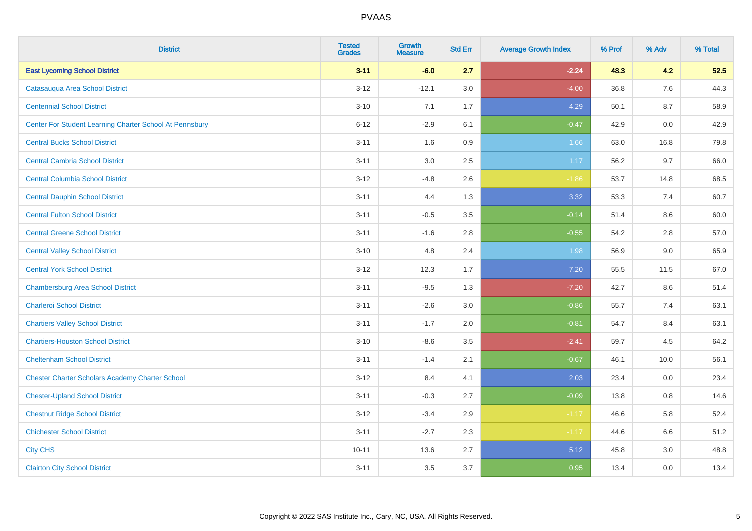| <b>District</b>                                         | <b>Tested</b><br><b>Grades</b> | <b>Growth</b><br><b>Measure</b> | <b>Std Err</b> | <b>Average Growth Index</b> | % Prof | % Adv | % Total |
|---------------------------------------------------------|--------------------------------|---------------------------------|----------------|-----------------------------|--------|-------|---------|
| <b>East Lycoming School District</b>                    | $3 - 11$                       | $-6.0$                          | 2.7            | $-2.24$                     | 48.3   | 4.2   | 52.5    |
| Catasauqua Area School District                         | $3 - 12$                       | $-12.1$                         | 3.0            | $-4.00$                     | 36.8   | 7.6   | 44.3    |
| <b>Centennial School District</b>                       | $3 - 10$                       | 7.1                             | 1.7            | 4.29                        | 50.1   | 8.7   | 58.9    |
| Center For Student Learning Charter School At Pennsbury | $6 - 12$                       | $-2.9$                          | 6.1            | $-0.47$                     | 42.9   | 0.0   | 42.9    |
| <b>Central Bucks School District</b>                    | $3 - 11$                       | 1.6                             | 0.9            | 1.66                        | 63.0   | 16.8  | 79.8    |
| <b>Central Cambria School District</b>                  | $3 - 11$                       | 3.0                             | 2.5            | 1.17                        | 56.2   | 9.7   | 66.0    |
| <b>Central Columbia School District</b>                 | $3 - 12$                       | $-4.8$                          | 2.6            | $-1.86$                     | 53.7   | 14.8  | 68.5    |
| <b>Central Dauphin School District</b>                  | $3 - 11$                       | 4.4                             | 1.3            | 3.32                        | 53.3   | 7.4   | 60.7    |
| <b>Central Fulton School District</b>                   | $3 - 11$                       | $-0.5$                          | 3.5            | $-0.14$                     | 51.4   | 8.6   | 60.0    |
| <b>Central Greene School District</b>                   | $3 - 11$                       | $-1.6$                          | 2.8            | $-0.55$                     | 54.2   | 2.8   | 57.0    |
| <b>Central Valley School District</b>                   | $3 - 10$                       | 4.8                             | 2.4            | 1.98                        | 56.9   | 9.0   | 65.9    |
| <b>Central York School District</b>                     | $3 - 12$                       | 12.3                            | 1.7            | 7.20                        | 55.5   | 11.5  | 67.0    |
| <b>Chambersburg Area School District</b>                | $3 - 11$                       | $-9.5$                          | 1.3            | $-7.20$                     | 42.7   | 8.6   | 51.4    |
| <b>Charleroi School District</b>                        | $3 - 11$                       | $-2.6$                          | 3.0            | $-0.86$                     | 55.7   | 7.4   | 63.1    |
| <b>Chartiers Valley School District</b>                 | $3 - 11$                       | $-1.7$                          | 2.0            | $-0.81$                     | 54.7   | 8.4   | 63.1    |
| <b>Chartiers-Houston School District</b>                | $3 - 10$                       | $-8.6$                          | 3.5            | $-2.41$                     | 59.7   | 4.5   | 64.2    |
| <b>Cheltenham School District</b>                       | $3 - 11$                       | $-1.4$                          | 2.1            | $-0.67$                     | 46.1   | 10.0  | 56.1    |
| <b>Chester Charter Scholars Academy Charter School</b>  | $3 - 12$                       | 8.4                             | 4.1            | 2.03                        | 23.4   | 0.0   | 23.4    |
| <b>Chester-Upland School District</b>                   | $3 - 11$                       | $-0.3$                          | 2.7            | $-0.09$                     | 13.8   | 0.8   | 14.6    |
| <b>Chestnut Ridge School District</b>                   | $3 - 12$                       | $-3.4$                          | 2.9            | $-1.17$                     | 46.6   | 5.8   | 52.4    |
| <b>Chichester School District</b>                       | $3 - 11$                       | $-2.7$                          | 2.3            | $-1.17$                     | 44.6   | 6.6   | 51.2    |
| <b>City CHS</b>                                         | $10 - 11$                      | 13.6                            | 2.7            | 5.12                        | 45.8   | 3.0   | 48.8    |
| <b>Clairton City School District</b>                    | $3 - 11$                       | 3.5                             | 3.7            | 0.95                        | 13.4   | 0.0   | 13.4    |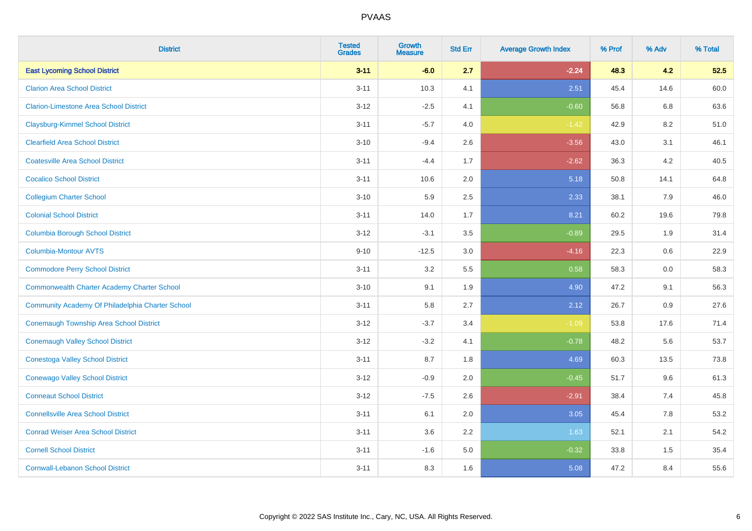| <b>District</b>                                    | <b>Tested</b><br><b>Grades</b> | <b>Growth</b><br><b>Measure</b> | <b>Std Err</b> | <b>Average Growth Index</b> | % Prof | % Adv | % Total |
|----------------------------------------------------|--------------------------------|---------------------------------|----------------|-----------------------------|--------|-------|---------|
| <b>East Lycoming School District</b>               | $3 - 11$                       | $-6.0$                          | 2.7            | $-2.24$                     | 48.3   | 4.2   | 52.5    |
| <b>Clarion Area School District</b>                | $3 - 11$                       | 10.3                            | 4.1            | 2.51                        | 45.4   | 14.6  | 60.0    |
| <b>Clarion-Limestone Area School District</b>      | $3 - 12$                       | $-2.5$                          | 4.1            | $-0.60$                     | 56.8   | 6.8   | 63.6    |
| <b>Claysburg-Kimmel School District</b>            | $3 - 11$                       | $-5.7$                          | 4.0            | $-1.42$                     | 42.9   | 8.2   | 51.0    |
| <b>Clearfield Area School District</b>             | $3 - 10$                       | $-9.4$                          | 2.6            | $-3.56$                     | 43.0   | 3.1   | 46.1    |
| <b>Coatesville Area School District</b>            | $3 - 11$                       | $-4.4$                          | 1.7            | $-2.62$                     | 36.3   | 4.2   | 40.5    |
| <b>Cocalico School District</b>                    | $3 - 11$                       | 10.6                            | 2.0            | 5.18                        | 50.8   | 14.1  | 64.8    |
| <b>Collegium Charter School</b>                    | $3 - 10$                       | 5.9                             | 2.5            | 2.33                        | 38.1   | 7.9   | 46.0    |
| <b>Colonial School District</b>                    | $3 - 11$                       | 14.0                            | 1.7            | 8.21                        | 60.2   | 19.6  | 79.8    |
| <b>Columbia Borough School District</b>            | $3 - 12$                       | $-3.1$                          | 3.5            | $-0.89$                     | 29.5   | 1.9   | 31.4    |
| <b>Columbia-Montour AVTS</b>                       | $9 - 10$                       | $-12.5$                         | 3.0            | $-4.16$                     | 22.3   | 0.6   | 22.9    |
| <b>Commodore Perry School District</b>             | $3 - 11$                       | 3.2                             | 5.5            | 0.58                        | 58.3   | 0.0   | 58.3    |
| <b>Commonwealth Charter Academy Charter School</b> | $3 - 10$                       | 9.1                             | 1.9            | 4.90                        | 47.2   | 9.1   | 56.3    |
| Community Academy Of Philadelphia Charter School   | $3 - 11$                       | 5.8                             | 2.7            | 2.12                        | 26.7   | 0.9   | 27.6    |
| Conemaugh Township Area School District            | $3 - 12$                       | $-3.7$                          | 3.4            | $-1.09$                     | 53.8   | 17.6  | 71.4    |
| <b>Conemaugh Valley School District</b>            | $3 - 12$                       | $-3.2$                          | 4.1            | $-0.78$                     | 48.2   | 5.6   | 53.7    |
| Conestoga Valley School District                   | $3 - 11$                       | 8.7                             | 1.8            | 4.69                        | 60.3   | 13.5  | 73.8    |
| <b>Conewago Valley School District</b>             | $3 - 12$                       | $-0.9$                          | 2.0            | $-0.45$                     | 51.7   | 9.6   | 61.3    |
| <b>Conneaut School District</b>                    | $3 - 12$                       | $-7.5$                          | 2.6            | $-2.91$                     | 38.4   | 7.4   | 45.8    |
| <b>Connellsville Area School District</b>          | $3 - 11$                       | 6.1                             | 2.0            | 3.05                        | 45.4   | 7.8   | 53.2    |
| <b>Conrad Weiser Area School District</b>          | $3 - 11$                       | 3.6                             | 2.2            | 1.63                        | 52.1   | 2.1   | 54.2    |
| <b>Cornell School District</b>                     | $3 - 11$                       | $-1.6$                          | 5.0            | $-0.32$                     | 33.8   | 1.5   | 35.4    |
| <b>Cornwall-Lebanon School District</b>            | $3 - 11$                       | 8.3                             | 1.6            | 5.08                        | 47.2   | 8.4   | 55.6    |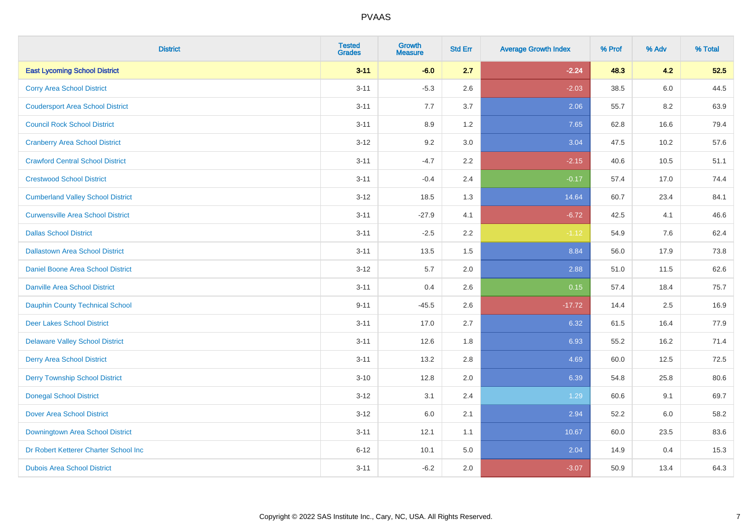| <b>District</b>                          | <b>Tested</b><br><b>Grades</b> | <b>Growth</b><br><b>Measure</b> | <b>Std Err</b> | <b>Average Growth Index</b> | % Prof | % Adv | % Total |
|------------------------------------------|--------------------------------|---------------------------------|----------------|-----------------------------|--------|-------|---------|
| <b>East Lycoming School District</b>     | $3 - 11$                       | $-6.0$                          | 2.7            | $-2.24$                     | 48.3   | 4.2   | 52.5    |
| <b>Corry Area School District</b>        | $3 - 11$                       | $-5.3$                          | 2.6            | $-2.03$                     | 38.5   | 6.0   | 44.5    |
| <b>Coudersport Area School District</b>  | $3 - 11$                       | 7.7                             | 3.7            | 2.06                        | 55.7   | 8.2   | 63.9    |
| <b>Council Rock School District</b>      | $3 - 11$                       | 8.9                             | 1.2            | 7.65                        | 62.8   | 16.6  | 79.4    |
| <b>Cranberry Area School District</b>    | $3 - 12$                       | 9.2                             | 3.0            | 3.04                        | 47.5   | 10.2  | 57.6    |
| <b>Crawford Central School District</b>  | $3 - 11$                       | $-4.7$                          | 2.2            | $-2.15$                     | 40.6   | 10.5  | 51.1    |
| <b>Crestwood School District</b>         | $3 - 11$                       | $-0.4$                          | 2.4            | $-0.17$                     | 57.4   | 17.0  | 74.4    |
| <b>Cumberland Valley School District</b> | $3 - 12$                       | 18.5                            | 1.3            | 14.64                       | 60.7   | 23.4  | 84.1    |
| <b>Curwensville Area School District</b> | $3 - 11$                       | $-27.9$                         | 4.1            | $-6.72$                     | 42.5   | 4.1   | 46.6    |
| <b>Dallas School District</b>            | $3 - 11$                       | $-2.5$                          | 2.2            | $-1.12$                     | 54.9   | 7.6   | 62.4    |
| <b>Dallastown Area School District</b>   | $3 - 11$                       | 13.5                            | 1.5            | 8.84                        | 56.0   | 17.9  | 73.8    |
| <b>Daniel Boone Area School District</b> | $3 - 12$                       | 5.7                             | 2.0            | 2.88                        | 51.0   | 11.5  | 62.6    |
| Danville Area School District            | $3 - 11$                       | 0.4                             | 2.6            | 0.15                        | 57.4   | 18.4  | 75.7    |
| <b>Dauphin County Technical School</b>   | $9 - 11$                       | $-45.5$                         | 2.6            | $-17.72$                    | 14.4   | 2.5   | 16.9    |
| <b>Deer Lakes School District</b>        | $3 - 11$                       | 17.0                            | 2.7            | 6.32                        | 61.5   | 16.4  | 77.9    |
| <b>Delaware Valley School District</b>   | $3 - 11$                       | 12.6                            | 1.8            | 6.93                        | 55.2   | 16.2  | 71.4    |
| <b>Derry Area School District</b>        | $3 - 11$                       | 13.2                            | 2.8            | 4.69                        | 60.0   | 12.5  | 72.5    |
| <b>Derry Township School District</b>    | $3 - 10$                       | 12.8                            | 2.0            | 6.39                        | 54.8   | 25.8  | 80.6    |
| <b>Donegal School District</b>           | $3 - 12$                       | 3.1                             | 2.4            | 1.29                        | 60.6   | 9.1   | 69.7    |
| Dover Area School District               | $3 - 12$                       | 6.0                             | 2.1            | 2.94                        | 52.2   | 6.0   | 58.2    |
| Downingtown Area School District         | $3 - 11$                       | 12.1                            | 1.1            | 10.67                       | 60.0   | 23.5  | 83.6    |
| Dr Robert Ketterer Charter School Inc    | $6 - 12$                       | 10.1                            | 5.0            | 2.04                        | 14.9   | 0.4   | 15.3    |
| <b>Dubois Area School District</b>       | $3 - 11$                       | $-6.2$                          | 2.0            | $-3.07$                     | 50.9   | 13.4  | 64.3    |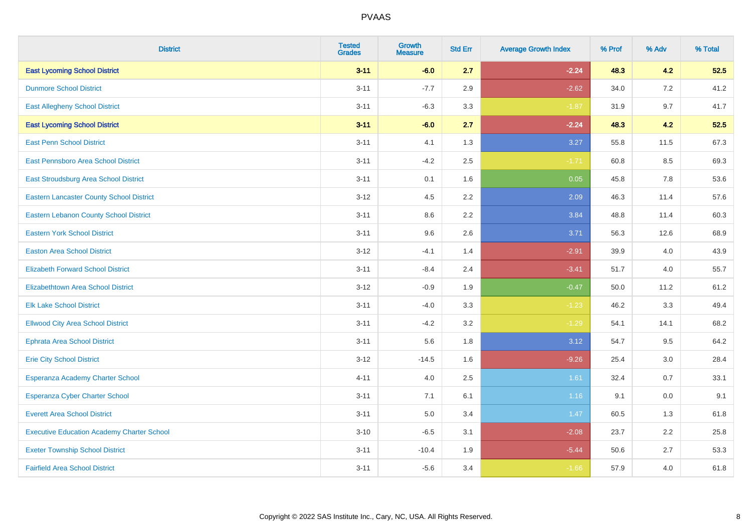| <b>District</b>                                   | <b>Tested</b><br><b>Grades</b> | <b>Growth</b><br><b>Measure</b> | <b>Std Err</b> | <b>Average Growth Index</b> | % Prof | % Adv | % Total |
|---------------------------------------------------|--------------------------------|---------------------------------|----------------|-----------------------------|--------|-------|---------|
| <b>East Lycoming School District</b>              | $3 - 11$                       | $-6.0$                          | 2.7            | $-2.24$                     | 48.3   | 4.2   | 52.5    |
| <b>Dunmore School District</b>                    | $3 - 11$                       | $-7.7$                          | 2.9            | $-2.62$                     | 34.0   | 7.2   | 41.2    |
| <b>East Allegheny School District</b>             | $3 - 11$                       | $-6.3$                          | 3.3            | $-1.87$                     | 31.9   | 9.7   | 41.7    |
| <b>East Lycoming School District</b>              | $3 - 11$                       | $-6.0$                          | 2.7            | $-2.24$                     | 48.3   | 4.2   | 52.5    |
| <b>East Penn School District</b>                  | $3 - 11$                       | 4.1                             | 1.3            | 3.27                        | 55.8   | 11.5  | 67.3    |
| East Pennsboro Area School District               | $3 - 11$                       | $-4.2$                          | 2.5            | $-1.71$                     | 60.8   | 8.5   | 69.3    |
| East Stroudsburg Area School District             | $3 - 11$                       | 0.1                             | 1.6            | 0.05                        | 45.8   | 7.8   | 53.6    |
| <b>Eastern Lancaster County School District</b>   | $3 - 12$                       | 4.5                             | 2.2            | 2.09                        | 46.3   | 11.4  | 57.6    |
| <b>Eastern Lebanon County School District</b>     | $3 - 11$                       | 8.6                             | 2.2            | 3.84                        | 48.8   | 11.4  | 60.3    |
| <b>Eastern York School District</b>               | $3 - 11$                       | 9.6                             | 2.6            | 3.71                        | 56.3   | 12.6  | 68.9    |
| <b>Easton Area School District</b>                | $3 - 12$                       | $-4.1$                          | 1.4            | $-2.91$                     | 39.9   | 4.0   | 43.9    |
| <b>Elizabeth Forward School District</b>          | $3 - 11$                       | $-8.4$                          | 2.4            | $-3.41$                     | 51.7   | 4.0   | 55.7    |
| Elizabethtown Area School District                | $3 - 12$                       | $-0.9$                          | 1.9            | $-0.47$                     | 50.0   | 11.2  | 61.2    |
| <b>Elk Lake School District</b>                   | $3 - 11$                       | $-4.0$                          | 3.3            | $-1.23$                     | 46.2   | 3.3   | 49.4    |
| <b>Ellwood City Area School District</b>          | $3 - 11$                       | $-4.2$                          | 3.2            | $-1.29$                     | 54.1   | 14.1  | 68.2    |
| <b>Ephrata Area School District</b>               | $3 - 11$                       | 5.6                             | 1.8            | 3.12                        | 54.7   | 9.5   | 64.2    |
| <b>Erie City School District</b>                  | $3 - 12$                       | $-14.5$                         | 1.6            | $-9.26$                     | 25.4   | 3.0   | 28.4    |
| Esperanza Academy Charter School                  | $4 - 11$                       | 4.0                             | 2.5            | 1.61                        | 32.4   | 0.7   | 33.1    |
| <b>Esperanza Cyber Charter School</b>             | $3 - 11$                       | 7.1                             | 6.1            | 1.16                        | 9.1    | 0.0   | 9.1     |
| <b>Everett Area School District</b>               | $3 - 11$                       | 5.0                             | 3.4            | 1.47                        | 60.5   | 1.3   | 61.8    |
| <b>Executive Education Academy Charter School</b> | $3 - 10$                       | $-6.5$                          | 3.1            | $-2.08$                     | 23.7   | 2.2   | 25.8    |
| <b>Exeter Township School District</b>            | $3 - 11$                       | $-10.4$                         | 1.9            | $-5.44$                     | 50.6   | 2.7   | 53.3    |
| <b>Fairfield Area School District</b>             | $3 - 11$                       | $-5.6$                          | 3.4            | $-1.66$                     | 57.9   | 4.0   | 61.8    |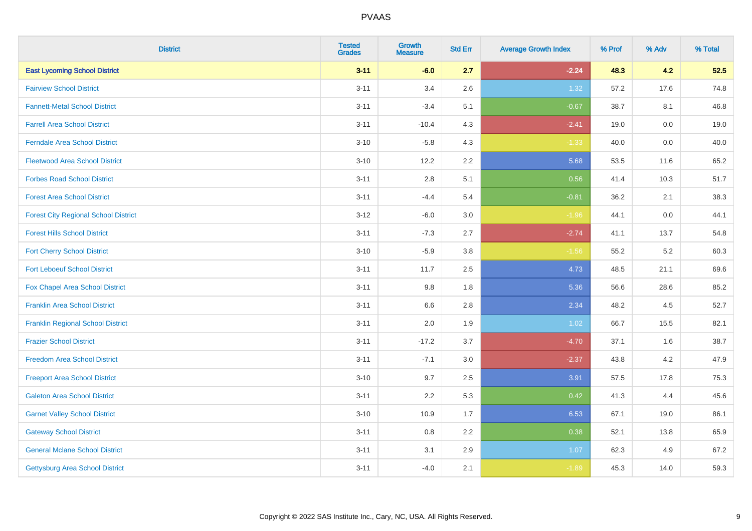| <b>District</b>                             | <b>Tested</b><br><b>Grades</b> | <b>Growth</b><br><b>Measure</b> | <b>Std Err</b> | <b>Average Growth Index</b> | % Prof | % Adv   | % Total |
|---------------------------------------------|--------------------------------|---------------------------------|----------------|-----------------------------|--------|---------|---------|
| <b>East Lycoming School District</b>        | $3 - 11$                       | $-6.0$                          | 2.7            | $-2.24$                     | 48.3   | 4.2     | 52.5    |
| <b>Fairview School District</b>             | $3 - 11$                       | 3.4                             | 2.6            | 1.32                        | 57.2   | 17.6    | 74.8    |
| <b>Fannett-Metal School District</b>        | $3 - 11$                       | $-3.4$                          | 5.1            | $-0.67$                     | 38.7   | 8.1     | 46.8    |
| <b>Farrell Area School District</b>         | $3 - 11$                       | $-10.4$                         | 4.3            | $-2.41$                     | 19.0   | $0.0\,$ | 19.0    |
| <b>Ferndale Area School District</b>        | $3 - 10$                       | $-5.8$                          | 4.3            | $-1.33$                     | 40.0   | 0.0     | 40.0    |
| <b>Fleetwood Area School District</b>       | $3 - 10$                       | 12.2                            | 2.2            | 5.68                        | 53.5   | 11.6    | 65.2    |
| <b>Forbes Road School District</b>          | $3 - 11$                       | 2.8                             | 5.1            | 0.56                        | 41.4   | 10.3    | 51.7    |
| <b>Forest Area School District</b>          | $3 - 11$                       | $-4.4$                          | 5.4            | $-0.81$                     | 36.2   | 2.1     | 38.3    |
| <b>Forest City Regional School District</b> | $3-12$                         | $-6.0$                          | 3.0            | $-1.96$                     | 44.1   | 0.0     | 44.1    |
| <b>Forest Hills School District</b>         | $3 - 11$                       | $-7.3$                          | 2.7            | $-2.74$                     | 41.1   | 13.7    | 54.8    |
| <b>Fort Cherry School District</b>          | $3 - 10$                       | $-5.9$                          | 3.8            | $-1.56$                     | 55.2   | 5.2     | 60.3    |
| <b>Fort Leboeuf School District</b>         | $3 - 11$                       | 11.7                            | 2.5            | 4.73                        | 48.5   | 21.1    | 69.6    |
| <b>Fox Chapel Area School District</b>      | $3 - 11$                       | 9.8                             | 1.8            | 5.36                        | 56.6   | 28.6    | 85.2    |
| <b>Franklin Area School District</b>        | $3 - 11$                       | 6.6                             | 2.8            | 2.34                        | 48.2   | 4.5     | 52.7    |
| <b>Franklin Regional School District</b>    | $3 - 11$                       | 2.0                             | 1.9            | 1.02                        | 66.7   | 15.5    | 82.1    |
| <b>Frazier School District</b>              | $3 - 11$                       | $-17.2$                         | 3.7            | $-4.70$                     | 37.1   | 1.6     | 38.7    |
| <b>Freedom Area School District</b>         | $3 - 11$                       | $-7.1$                          | 3.0            | $-2.37$                     | 43.8   | 4.2     | 47.9    |
| <b>Freeport Area School District</b>        | $3 - 10$                       | 9.7                             | 2.5            | 3.91                        | 57.5   | 17.8    | 75.3    |
| <b>Galeton Area School District</b>         | $3 - 11$                       | 2.2                             | 5.3            | 0.42                        | 41.3   | 4.4     | 45.6    |
| <b>Garnet Valley School District</b>        | $3 - 10$                       | 10.9                            | 1.7            | 6.53                        | 67.1   | 19.0    | 86.1    |
| <b>Gateway School District</b>              | $3 - 11$                       | 0.8                             | 2.2            | 0.38                        | 52.1   | 13.8    | 65.9    |
| <b>General Mclane School District</b>       | $3 - 11$                       | 3.1                             | 2.9            | 1.07                        | 62.3   | 4.9     | 67.2    |
| <b>Gettysburg Area School District</b>      | $3 - 11$                       | $-4.0$                          | 2.1            | $-1.89$                     | 45.3   | 14.0    | 59.3    |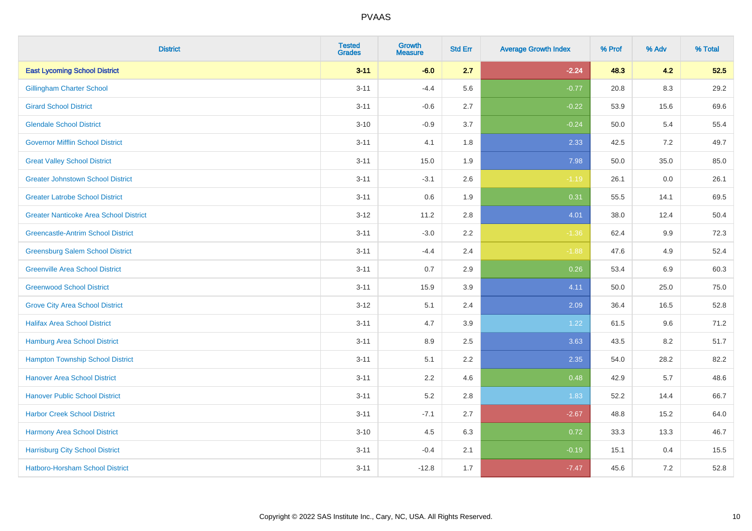| <b>District</b>                               | <b>Tested</b><br><b>Grades</b> | <b>Growth</b><br><b>Measure</b> | <b>Std Err</b> | <b>Average Growth Index</b> | % Prof | % Adv   | % Total |
|-----------------------------------------------|--------------------------------|---------------------------------|----------------|-----------------------------|--------|---------|---------|
| <b>East Lycoming School District</b>          | $3 - 11$                       | $-6.0$                          | 2.7            | $-2.24$                     | 48.3   | 4.2     | 52.5    |
| <b>Gillingham Charter School</b>              | $3 - 11$                       | $-4.4$                          | 5.6            | $-0.77$                     | 20.8   | 8.3     | 29.2    |
| <b>Girard School District</b>                 | $3 - 11$                       | $-0.6$                          | 2.7            | $-0.22$                     | 53.9   | 15.6    | 69.6    |
| <b>Glendale School District</b>               | $3 - 10$                       | $-0.9$                          | 3.7            | $-0.24$                     | 50.0   | 5.4     | 55.4    |
| <b>Governor Mifflin School District</b>       | $3 - 11$                       | 4.1                             | 1.8            | 2.33                        | 42.5   | 7.2     | 49.7    |
| <b>Great Valley School District</b>           | $3 - 11$                       | 15.0                            | 1.9            | 7.98                        | 50.0   | 35.0    | 85.0    |
| <b>Greater Johnstown School District</b>      | $3 - 11$                       | $-3.1$                          | 2.6            | $-1.19$                     | 26.1   | $0.0\,$ | 26.1    |
| <b>Greater Latrobe School District</b>        | $3 - 11$                       | 0.6                             | 1.9            | 0.31                        | 55.5   | 14.1    | 69.5    |
| <b>Greater Nanticoke Area School District</b> | $3 - 12$                       | 11.2                            | 2.8            | 4.01                        | 38.0   | 12.4    | 50.4    |
| <b>Greencastle-Antrim School District</b>     | $3 - 11$                       | $-3.0$                          | $2.2\,$        | $-1.36$                     | 62.4   | 9.9     | 72.3    |
| <b>Greensburg Salem School District</b>       | $3 - 11$                       | $-4.4$                          | 2.4            | $-1.88$                     | 47.6   | 4.9     | 52.4    |
| <b>Greenville Area School District</b>        | $3 - 11$                       | 0.7                             | 2.9            | 0.26                        | 53.4   | 6.9     | 60.3    |
| <b>Greenwood School District</b>              | $3 - 11$                       | 15.9                            | 3.9            | 4.11                        | 50.0   | 25.0    | 75.0    |
| <b>Grove City Area School District</b>        | $3 - 12$                       | 5.1                             | 2.4            | 2.09                        | 36.4   | 16.5    | 52.8    |
| <b>Halifax Area School District</b>           | $3 - 11$                       | 4.7                             | 3.9            | 1.22                        | 61.5   | 9.6     | 71.2    |
| <b>Hamburg Area School District</b>           | $3 - 11$                       | 8.9                             | 2.5            | 3.63                        | 43.5   | 8.2     | 51.7    |
| <b>Hampton Township School District</b>       | $3 - 11$                       | 5.1                             | 2.2            | 2.35                        | 54.0   | 28.2    | 82.2    |
| <b>Hanover Area School District</b>           | $3 - 11$                       | 2.2                             | 4.6            | 0.48                        | 42.9   | 5.7     | 48.6    |
| <b>Hanover Public School District</b>         | $3 - 11$                       | 5.2                             | 2.8            | 1.83                        | 52.2   | 14.4    | 66.7    |
| <b>Harbor Creek School District</b>           | $3 - 11$                       | $-7.1$                          | 2.7            | $-2.67$                     | 48.8   | 15.2    | 64.0    |
| Harmony Area School District                  | $3 - 10$                       | 4.5                             | 6.3            | 0.72                        | 33.3   | 13.3    | 46.7    |
| <b>Harrisburg City School District</b>        | $3 - 11$                       | $-0.4$                          | 2.1            | $-0.19$                     | 15.1   | 0.4     | 15.5    |
| Hatboro-Horsham School District               | $3 - 11$                       | $-12.8$                         | 1.7            | $-7.47$                     | 45.6   | $7.2\,$ | 52.8    |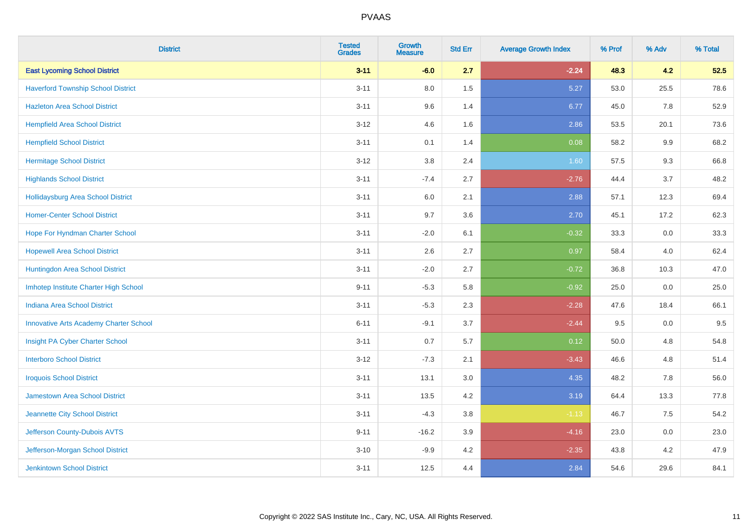| <b>District</b>                               | <b>Tested</b><br><b>Grades</b> | <b>Growth</b><br><b>Measure</b> | <b>Std Err</b> | <b>Average Growth Index</b> | % Prof | % Adv | % Total |
|-----------------------------------------------|--------------------------------|---------------------------------|----------------|-----------------------------|--------|-------|---------|
| <b>East Lycoming School District</b>          | $3 - 11$                       | $-6.0$                          | 2.7            | $-2.24$                     | 48.3   | 4.2   | 52.5    |
| <b>Haverford Township School District</b>     | $3 - 11$                       | 8.0                             | 1.5            | 5.27                        | 53.0   | 25.5  | 78.6    |
| <b>Hazleton Area School District</b>          | $3 - 11$                       | 9.6                             | 1.4            | 6.77                        | 45.0   | 7.8   | 52.9    |
| <b>Hempfield Area School District</b>         | $3 - 12$                       | 4.6                             | 1.6            | 2.86                        | 53.5   | 20.1  | 73.6    |
| <b>Hempfield School District</b>              | $3 - 11$                       | 0.1                             | 1.4            | 0.08                        | 58.2   | 9.9   | 68.2    |
| <b>Hermitage School District</b>              | $3 - 12$                       | 3.8                             | 2.4            | 1.60                        | 57.5   | 9.3   | 66.8    |
| <b>Highlands School District</b>              | $3 - 11$                       | $-7.4$                          | 2.7            | $-2.76$                     | 44.4   | 3.7   | 48.2    |
| <b>Hollidaysburg Area School District</b>     | $3 - 11$                       | 6.0                             | 2.1            | 2.88                        | 57.1   | 12.3  | 69.4    |
| <b>Homer-Center School District</b>           | $3 - 11$                       | 9.7                             | 3.6            | 2.70                        | 45.1   | 17.2  | 62.3    |
| Hope For Hyndman Charter School               | $3 - 11$                       | $-2.0$                          | 6.1            | $-0.32$                     | 33.3   | 0.0   | 33.3    |
| <b>Hopewell Area School District</b>          | $3 - 11$                       | 2.6                             | 2.7            | 0.97                        | 58.4   | 4.0   | 62.4    |
| Huntingdon Area School District               | $3 - 11$                       | $-2.0$                          | 2.7            | $-0.72$                     | 36.8   | 10.3  | 47.0    |
| Imhotep Institute Charter High School         | $9 - 11$                       | $-5.3$                          | 5.8            | $-0.92$                     | 25.0   | 0.0   | 25.0    |
| <b>Indiana Area School District</b>           | $3 - 11$                       | $-5.3$                          | 2.3            | $-2.28$                     | 47.6   | 18.4  | 66.1    |
| <b>Innovative Arts Academy Charter School</b> | $6 - 11$                       | $-9.1$                          | 3.7            | $-2.44$                     | 9.5    | 0.0   | 9.5     |
| Insight PA Cyber Charter School               | $3 - 11$                       | 0.7                             | 5.7            | 0.12                        | 50.0   | 4.8   | 54.8    |
| <b>Interboro School District</b>              | $3 - 12$                       | $-7.3$                          | 2.1            | $-3.43$                     | 46.6   | 4.8   | 51.4    |
| <b>Iroquois School District</b>               | $3 - 11$                       | 13.1                            | 3.0            | 4.35                        | 48.2   | 7.8   | 56.0    |
| <b>Jamestown Area School District</b>         | $3 - 11$                       | 13.5                            | 4.2            | 3.19                        | 64.4   | 13.3  | 77.8    |
| Jeannette City School District                | $3 - 11$                       | $-4.3$                          | 3.8            | $-1.13$                     | 46.7   | 7.5   | 54.2    |
| Jefferson County-Dubois AVTS                  | $9 - 11$                       | $-16.2$                         | 3.9            | $-4.16$                     | 23.0   | 0.0   | 23.0    |
| Jefferson-Morgan School District              | $3 - 10$                       | $-9.9$                          | 4.2            | $-2.35$                     | 43.8   | 4.2   | 47.9    |
| <b>Jenkintown School District</b>             | $3 - 11$                       | 12.5                            | 4.4            | 2.84                        | 54.6   | 29.6  | 84.1    |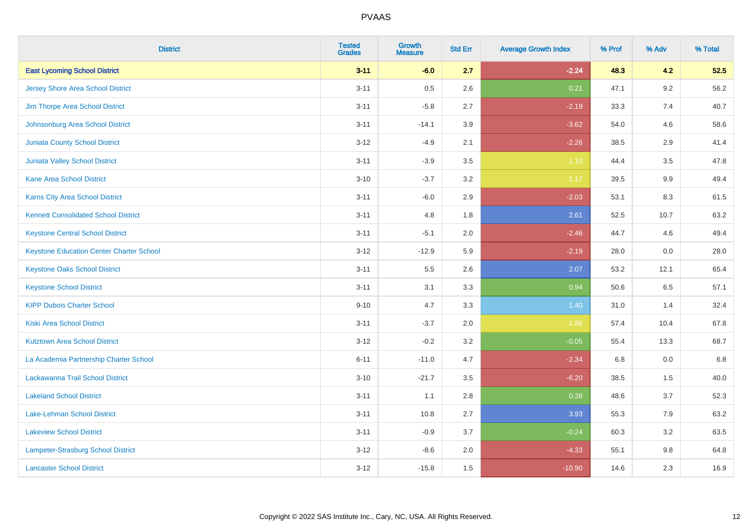| <b>District</b>                                 | <b>Tested</b><br><b>Grades</b> | <b>Growth</b><br><b>Measure</b> | <b>Std Err</b> | <b>Average Growth Index</b> | % Prof | % Adv   | % Total |
|-------------------------------------------------|--------------------------------|---------------------------------|----------------|-----------------------------|--------|---------|---------|
| <b>East Lycoming School District</b>            | $3 - 11$                       | $-6.0$                          | 2.7            | $-2.24$                     | 48.3   | 4.2     | 52.5    |
| <b>Jersey Shore Area School District</b>        | $3 - 11$                       | 0.5                             | 2.6            | 0.21                        | 47.1   | $9.2\,$ | 56.2    |
| Jim Thorpe Area School District                 | $3 - 11$                       | $-5.8$                          | 2.7            | $-2.19$                     | 33.3   | 7.4     | 40.7    |
| Johnsonburg Area School District                | $3 - 11$                       | $-14.1$                         | 3.9            | $-3.62$                     | 54.0   | 4.6     | 58.6    |
| <b>Juniata County School District</b>           | $3 - 12$                       | $-4.9$                          | 2.1            | $-2.26$                     | 38.5   | 2.9     | 41.4    |
| Juniata Valley School District                  | $3 - 11$                       | $-3.9$                          | 3.5            | $-1.10$                     | 44.4   | 3.5     | 47.8    |
| <b>Kane Area School District</b>                | $3 - 10$                       | $-3.7$                          | 3.2            | $-1.17$                     | 39.5   | 9.9     | 49.4    |
| Karns City Area School District                 | $3 - 11$                       | $-6.0$                          | 2.9            | $-2.03$                     | 53.1   | 8.3     | 61.5    |
| <b>Kennett Consolidated School District</b>     | $3 - 11$                       | 4.8                             | 1.8            | 2.61                        | 52.5   | 10.7    | 63.2    |
| <b>Keystone Central School District</b>         | $3 - 11$                       | $-5.1$                          | 2.0            | $-2.46$                     | 44.7   | 4.6     | 49.4    |
| <b>Keystone Education Center Charter School</b> | $3 - 12$                       | $-12.9$                         | 5.9            | $-2.19$                     | 28.0   | 0.0     | 28.0    |
| <b>Keystone Oaks School District</b>            | $3 - 11$                       | 5.5                             | 2.6            | 2.07                        | 53.2   | 12.1    | 65.4    |
| <b>Keystone School District</b>                 | $3 - 11$                       | 3.1                             | 3.3            | 0.94                        | 50.6   | 6.5     | 57.1    |
| <b>KIPP Dubois Charter School</b>               | $9 - 10$                       | 4.7                             | 3.3            | 1.40                        | 31.0   | 1.4     | 32.4    |
| <b>Kiski Area School District</b>               | $3 - 11$                       | $-3.7$                          | 2.0            | $-1.86$                     | 57.4   | 10.4    | 67.8    |
| <b>Kutztown Area School District</b>            | $3 - 12$                       | $-0.2$                          | 3.2            | $-0.05$                     | 55.4   | 13.3    | 68.7    |
| La Academia Partnership Charter School          | $6 - 11$                       | $-11.0$                         | 4.7            | $-2.34$                     | 6.8    | 0.0     | 6.8     |
| Lackawanna Trail School District                | $3 - 10$                       | $-21.7$                         | 3.5            | $-6.20$                     | 38.5   | 1.5     | 40.0    |
| <b>Lakeland School District</b>                 | $3 - 11$                       | 1.1                             | 2.8            | 0.38                        | 48.6   | 3.7     | 52.3    |
| Lake-Lehman School District                     | $3 - 11$                       | 10.8                            | 2.7            | 3.93                        | 55.3   | 7.9     | 63.2    |
| <b>Lakeview School District</b>                 | $3 - 11$                       | $-0.9$                          | 3.7            | $-0.24$                     | 60.3   | 3.2     | 63.5    |
| <b>Lampeter-Strasburg School District</b>       | $3 - 12$                       | $-8.6$                          | 2.0            | $-4.33$                     | 55.1   | 9.8     | 64.8    |
| <b>Lancaster School District</b>                | $3 - 12$                       | $-15.8$                         | 1.5            | $-10.90$                    | 14.6   | 2.3     | 16.9    |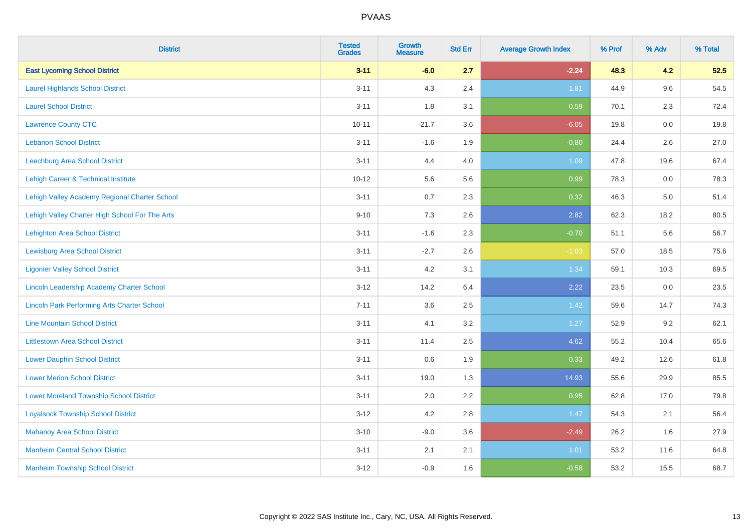| <b>District</b>                                    | <b>Tested</b><br><b>Grades</b> | <b>Growth</b><br><b>Measure</b> | <b>Std Err</b> | <b>Average Growth Index</b> | % Prof | % Adv   | % Total |
|----------------------------------------------------|--------------------------------|---------------------------------|----------------|-----------------------------|--------|---------|---------|
| <b>East Lycoming School District</b>               | $3 - 11$                       | $-6.0$                          | 2.7            | $-2.24$                     | 48.3   | 4.2     | 52.5    |
| <b>Laurel Highlands School District</b>            | $3 - 11$                       | 4.3                             | 2.4            | 1.81                        | 44.9   | 9.6     | 54.5    |
| <b>Laurel School District</b>                      | $3 - 11$                       | 1.8                             | 3.1            | 0.59                        | 70.1   | 2.3     | 72.4    |
| <b>Lawrence County CTC</b>                         | $10 - 11$                      | $-21.7$                         | 3.6            | $-6.05$                     | 19.8   | $0.0\,$ | 19.8    |
| <b>Lebanon School District</b>                     | $3 - 11$                       | $-1.6$                          | 1.9            | $-0.80$                     | 24.4   | 2.6     | 27.0    |
| <b>Leechburg Area School District</b>              | $3 - 11$                       | 4.4                             | 4.0            | 1.09                        | 47.8   | 19.6    | 67.4    |
| Lehigh Career & Technical Institute                | $10 - 12$                      | 5.6                             | 5.6            | 0.99                        | 78.3   | 0.0     | 78.3    |
| Lehigh Valley Academy Regional Charter School      | $3 - 11$                       | 0.7                             | 2.3            | 0.32                        | 46.3   | 5.0     | 51.4    |
| Lehigh Valley Charter High School For The Arts     | $9 - 10$                       | 7.3                             | 2.6            | 2.82                        | 62.3   | 18.2    | 80.5    |
| <b>Lehighton Area School District</b>              | $3 - 11$                       | $-1.6$                          | 2.3            | $-0.70$                     | 51.1   | 5.6     | 56.7    |
| <b>Lewisburg Area School District</b>              | $3 - 11$                       | $-2.7$                          | 2.6            | $-1.03$                     | 57.0   | 18.5    | 75.6    |
| <b>Ligonier Valley School District</b>             | $3 - 11$                       | 4.2                             | 3.1            | 1.34                        | 59.1   | 10.3    | 69.5    |
| Lincoln Leadership Academy Charter School          | $3 - 12$                       | 14.2                            | 6.4            | 2.22                        | 23.5   | 0.0     | 23.5    |
| <b>Lincoln Park Performing Arts Charter School</b> | $7 - 11$                       | 3.6                             | 2.5            | 1.42                        | 59.6   | 14.7    | 74.3    |
| <b>Line Mountain School District</b>               | $3 - 11$                       | 4.1                             | 3.2            | 1.27                        | 52.9   | 9.2     | 62.1    |
| <b>Littlestown Area School District</b>            | $3 - 11$                       | 11.4                            | 2.5            | 4.62                        | 55.2   | 10.4    | 65.6    |
| <b>Lower Dauphin School District</b>               | $3 - 11$                       | 0.6                             | 1.9            | 0.33                        | 49.2   | 12.6    | 61.8    |
| <b>Lower Merion School District</b>                | $3 - 11$                       | 19.0                            | 1.3            | 14.93                       | 55.6   | 29.9    | 85.5    |
| <b>Lower Moreland Township School District</b>     | $3 - 11$                       | 2.0                             | 2.2            | 0.95                        | 62.8   | 17.0    | 79.8    |
| <b>Loyalsock Township School District</b>          | $3 - 12$                       | 4.2                             | 2.8            | 1.47                        | 54.3   | 2.1     | 56.4    |
| <b>Mahanoy Area School District</b>                | $3 - 10$                       | $-9.0$                          | 3.6            | $-2.49$                     | 26.2   | 1.6     | 27.9    |
| <b>Manheim Central School District</b>             | $3 - 11$                       | 2.1                             | 2.1            | 1.01                        | 53.2   | 11.6    | 64.8    |
| <b>Manheim Township School District</b>            | $3 - 12$                       | $-0.9$                          | 1.6            | $-0.58$                     | 53.2   | 15.5    | 68.7    |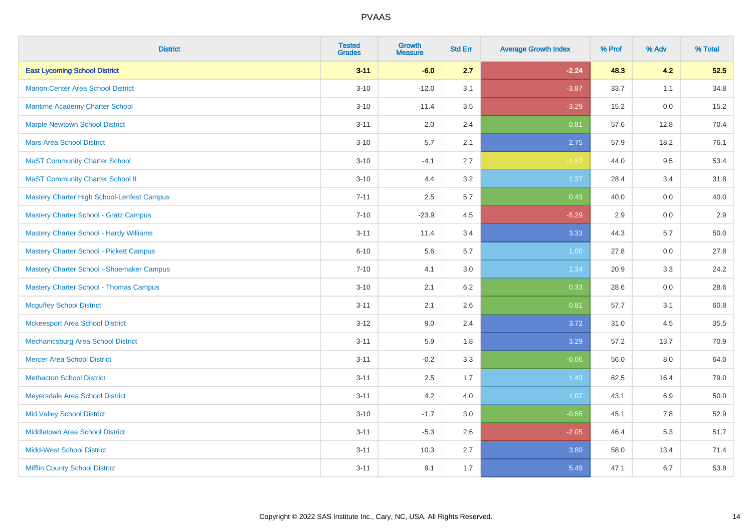| <b>District</b>                                   | <b>Tested</b><br><b>Grades</b> | <b>Growth</b><br><b>Measure</b> | <b>Std Err</b> | <b>Average Growth Index</b> | % Prof | % Adv   | % Total |
|---------------------------------------------------|--------------------------------|---------------------------------|----------------|-----------------------------|--------|---------|---------|
| <b>East Lycoming School District</b>              | $3 - 11$                       | $-6.0$                          | 2.7            | $-2.24$                     | 48.3   | 4.2     | 52.5    |
| <b>Marion Center Area School District</b>         | $3 - 10$                       | $-12.0$                         | 3.1            | $-3.87$                     | 33.7   | 1.1     | 34.8    |
| <b>Maritime Academy Charter School</b>            | $3 - 10$                       | $-11.4$                         | 3.5            | $-3.29$                     | 15.2   | 0.0     | 15.2    |
| <b>Marple Newtown School District</b>             | $3 - 11$                       | 2.0                             | 2.4            | 0.81                        | 57.6   | 12.8    | 70.4    |
| <b>Mars Area School District</b>                  | $3 - 10$                       | 5.7                             | 2.1            | 2.75                        | 57.9   | 18.2    | 76.1    |
| <b>MaST Community Charter School</b>              | $3 - 10$                       | $-4.1$                          | 2.7            | $-1.52$                     | 44.0   | 9.5     | 53.4    |
| <b>MaST Community Charter School II</b>           | $3 - 10$                       | 4.4                             | 3.2            | 1.37                        | 28.4   | 3.4     | 31.8    |
| <b>Mastery Charter High School-Lenfest Campus</b> | $7 - 11$                       | 2.5                             | 5.7            | 0.43                        | 40.0   | 0.0     | 40.0    |
| <b>Mastery Charter School - Gratz Campus</b>      | $7 - 10$                       | $-23.9$                         | 4.5            | $-5.29$                     | 2.9    | 0.0     | 2.9     |
| <b>Mastery Charter School - Hardy Williams</b>    | $3 - 11$                       | 11.4                            | 3.4            | 3.33                        | 44.3   | 5.7     | 50.0    |
| <b>Mastery Charter School - Pickett Campus</b>    | $6 - 10$                       | 5.6                             | 5.7            | 1.00                        | 27.8   | 0.0     | 27.8    |
| Mastery Charter School - Shoemaker Campus         | $7 - 10$                       | 4.1                             | 3.0            | 1.34                        | 20.9   | 3.3     | 24.2    |
| <b>Mastery Charter School - Thomas Campus</b>     | $3 - 10$                       | 2.1                             | $6.2\,$        | 0.33                        | 28.6   | $0.0\,$ | 28.6    |
| <b>Mcguffey School District</b>                   | $3 - 11$                       | 2.1                             | 2.6            | 0.81                        | 57.7   | 3.1     | 60.8    |
| <b>Mckeesport Area School District</b>            | $3 - 12$                       | 9.0                             | 2.4            | 3.72                        | 31.0   | 4.5     | 35.5    |
| Mechanicsburg Area School District                | $3 - 11$                       | 5.9                             | 1.8            | 3.29                        | 57.2   | 13.7    | 70.9    |
| <b>Mercer Area School District</b>                | $3 - 11$                       | $-0.2$                          | 3.3            | $-0.06$                     | 56.0   | 8.0     | 64.0    |
| <b>Methacton School District</b>                  | $3 - 11$                       | 2.5                             | 1.7            | 1.43                        | 62.5   | 16.4    | 79.0    |
| <b>Meyersdale Area School District</b>            | $3 - 11$                       | 4.2                             | 4.0            | 1.07                        | 43.1   | 6.9     | 50.0    |
| <b>Mid Valley School District</b>                 | $3 - 10$                       | $-1.7$                          | 3.0            | $-0.55$                     | 45.1   | 7.8     | 52.9    |
| <b>Middletown Area School District</b>            | $3 - 11$                       | $-5.3$                          | 2.6            | $-2.05$                     | 46.4   | 5.3     | 51.7    |
| <b>Midd-West School District</b>                  | $3 - 11$                       | 10.3                            | 2.7            | 3.80                        | 58.0   | 13.4    | 71.4    |
| <b>Mifflin County School District</b>             | $3 - 11$                       | 9.1                             | 1.7            | 5.49                        | 47.1   | 6.7     | 53.8    |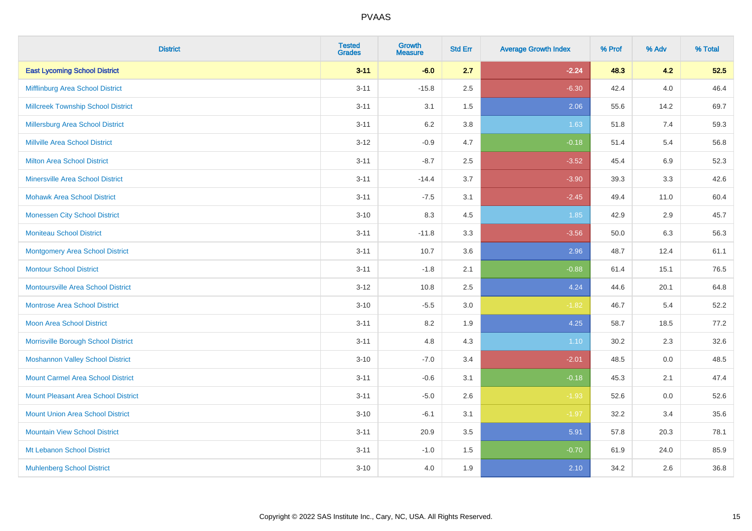| <b>District</b>                            | <b>Tested</b><br><b>Grades</b> | <b>Growth</b><br><b>Measure</b> | <b>Std Err</b> | <b>Average Growth Index</b> | % Prof | % Adv   | % Total |
|--------------------------------------------|--------------------------------|---------------------------------|----------------|-----------------------------|--------|---------|---------|
| <b>East Lycoming School District</b>       | $3 - 11$                       | $-6.0$                          | 2.7            | $-2.24$                     | 48.3   | 4.2     | 52.5    |
| Mifflinburg Area School District           | $3 - 11$                       | $-15.8$                         | 2.5            | $-6.30$                     | 42.4   | $4.0\,$ | 46.4    |
| <b>Millcreek Township School District</b>  | $3 - 11$                       | 3.1                             | 1.5            | 2.06                        | 55.6   | 14.2    | 69.7    |
| <b>Millersburg Area School District</b>    | $3 - 11$                       | 6.2                             | 3.8            | 1.63                        | 51.8   | 7.4     | 59.3    |
| <b>Millville Area School District</b>      | $3-12$                         | $-0.9$                          | 4.7            | $-0.18$                     | 51.4   | 5.4     | 56.8    |
| <b>Milton Area School District</b>         | $3 - 11$                       | $-8.7$                          | 2.5            | $-3.52$                     | 45.4   | $6.9\,$ | 52.3    |
| <b>Minersville Area School District</b>    | $3 - 11$                       | $-14.4$                         | 3.7            | $-3.90$                     | 39.3   | 3.3     | 42.6    |
| <b>Mohawk Area School District</b>         | $3 - 11$                       | $-7.5$                          | 3.1            | $-2.45$                     | 49.4   | 11.0    | 60.4    |
| <b>Monessen City School District</b>       | $3 - 10$                       | 8.3                             | 4.5            | 1.85                        | 42.9   | 2.9     | 45.7    |
| <b>Moniteau School District</b>            | $3 - 11$                       | $-11.8$                         | 3.3            | $-3.56$                     | 50.0   | 6.3     | 56.3    |
| <b>Montgomery Area School District</b>     | $3 - 11$                       | 10.7                            | 3.6            | 2.96                        | 48.7   | 12.4    | 61.1    |
| <b>Montour School District</b>             | $3 - 11$                       | $-1.8$                          | 2.1            | $-0.88$                     | 61.4   | 15.1    | 76.5    |
| <b>Montoursville Area School District</b>  | $3 - 12$                       | 10.8                            | 2.5            | 4.24                        | 44.6   | 20.1    | 64.8    |
| <b>Montrose Area School District</b>       | $3 - 10$                       | $-5.5$                          | 3.0            | $-1.82$                     | 46.7   | 5.4     | 52.2    |
| Moon Area School District                  | $3 - 11$                       | 8.2                             | 1.9            | 4.25                        | 58.7   | 18.5    | 77.2    |
| Morrisville Borough School District        | $3 - 11$                       | 4.8                             | 4.3            | 1.10                        | 30.2   | 2.3     | 32.6    |
| <b>Moshannon Valley School District</b>    | $3 - 10$                       | $-7.0$                          | 3.4            | $-2.01$                     | 48.5   | 0.0     | 48.5    |
| <b>Mount Carmel Area School District</b>   | $3 - 11$                       | $-0.6$                          | 3.1            | $-0.18$                     | 45.3   | 2.1     | 47.4    |
| <b>Mount Pleasant Area School District</b> | $3 - 11$                       | $-5.0$                          | 2.6            | $-1.93$                     | 52.6   | 0.0     | 52.6    |
| <b>Mount Union Area School District</b>    | $3 - 10$                       | $-6.1$                          | 3.1            | $-1.97$                     | 32.2   | 3.4     | 35.6    |
| <b>Mountain View School District</b>       | $3 - 11$                       | 20.9                            | 3.5            | 5.91                        | 57.8   | 20.3    | 78.1    |
| Mt Lebanon School District                 | $3 - 11$                       | $-1.0$                          | 1.5            | $-0.70$                     | 61.9   | 24.0    | 85.9    |
| <b>Muhlenberg School District</b>          | $3 - 10$                       | 4.0                             | 1.9            | 2.10                        | 34.2   | 2.6     | 36.8    |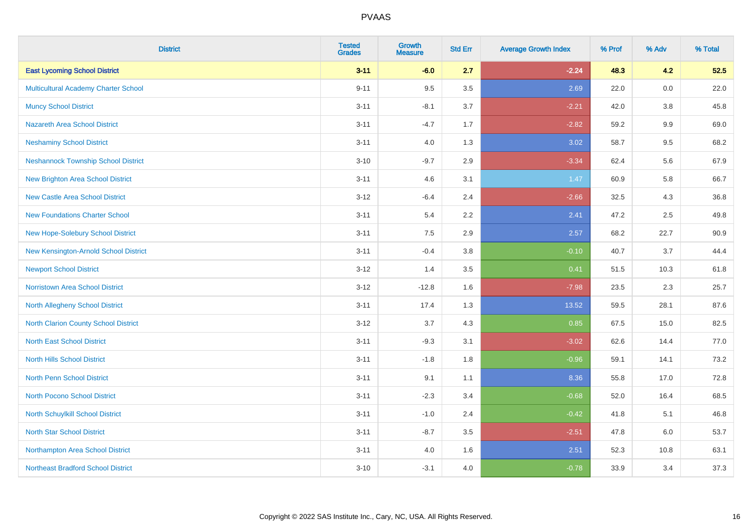| <b>District</b>                            | <b>Tested</b><br><b>Grades</b> | <b>Growth</b><br><b>Measure</b> | <b>Std Err</b> | <b>Average Growth Index</b> | % Prof | % Adv   | % Total |
|--------------------------------------------|--------------------------------|---------------------------------|----------------|-----------------------------|--------|---------|---------|
| <b>East Lycoming School District</b>       | $3 - 11$                       | $-6.0$                          | 2.7            | $-2.24$                     | 48.3   | 4.2     | 52.5    |
| Multicultural Academy Charter School       | $9 - 11$                       | 9.5                             | 3.5            | 2.69                        | 22.0   | 0.0     | 22.0    |
| <b>Muncy School District</b>               | $3 - 11$                       | $-8.1$                          | 3.7            | $-2.21$                     | 42.0   | 3.8     | 45.8    |
| <b>Nazareth Area School District</b>       | $3 - 11$                       | $-4.7$                          | 1.7            | $-2.82$                     | 59.2   | $9.9\,$ | 69.0    |
| <b>Neshaminy School District</b>           | $3 - 11$                       | 4.0                             | 1.3            | 3.02                        | 58.7   | 9.5     | 68.2    |
| <b>Neshannock Township School District</b> | $3 - 10$                       | $-9.7$                          | 2.9            | $-3.34$                     | 62.4   | 5.6     | 67.9    |
| <b>New Brighton Area School District</b>   | $3 - 11$                       | 4.6                             | 3.1            | 1.47                        | 60.9   | 5.8     | 66.7    |
| <b>New Castle Area School District</b>     | $3 - 12$                       | $-6.4$                          | 2.4            | $-2.66$                     | 32.5   | 4.3     | 36.8    |
| <b>New Foundations Charter School</b>      | $3 - 11$                       | 5.4                             | 2.2            | 2.41                        | 47.2   | 2.5     | 49.8    |
| New Hope-Solebury School District          | $3 - 11$                       | 7.5                             | 2.9            | 2.57                        | 68.2   | 22.7    | 90.9    |
| New Kensington-Arnold School District      | $3 - 11$                       | $-0.4$                          | 3.8            | $-0.10$                     | 40.7   | 3.7     | 44.4    |
| <b>Newport School District</b>             | $3 - 12$                       | 1.4                             | 3.5            | 0.41                        | 51.5   | 10.3    | 61.8    |
| Norristown Area School District            | $3 - 12$                       | $-12.8$                         | 1.6            | $-7.98$                     | 23.5   | $2.3\,$ | 25.7    |
| North Allegheny School District            | $3 - 11$                       | 17.4                            | 1.3            | 13.52                       | 59.5   | 28.1    | 87.6    |
| North Clarion County School District       | $3 - 12$                       | 3.7                             | 4.3            | 0.85                        | 67.5   | 15.0    | 82.5    |
| <b>North East School District</b>          | $3 - 11$                       | $-9.3$                          | 3.1            | $-3.02$                     | 62.6   | 14.4    | 77.0    |
| <b>North Hills School District</b>         | $3 - 11$                       | $-1.8$                          | 1.8            | $-0.96$                     | 59.1   | 14.1    | 73.2    |
| North Penn School District                 | $3 - 11$                       | 9.1                             | 1.1            | 8.36                        | 55.8   | 17.0    | 72.8    |
| <b>North Pocono School District</b>        | $3 - 11$                       | $-2.3$                          | 3.4            | $-0.68$                     | 52.0   | 16.4    | 68.5    |
| North Schuylkill School District           | $3 - 11$                       | $-1.0$                          | 2.4            | $-0.42$                     | 41.8   | 5.1     | 46.8    |
| <b>North Star School District</b>          | $3 - 11$                       | $-8.7$                          | 3.5            | $-2.51$                     | 47.8   | 6.0     | 53.7    |
| Northampton Area School District           | $3 - 11$                       | 4.0                             | 1.6            | 2.51                        | 52.3   | 10.8    | 63.1    |
| <b>Northeast Bradford School District</b>  | $3 - 10$                       | $-3.1$                          | 4.0            | $-0.78$                     | 33.9   | 3.4     | 37.3    |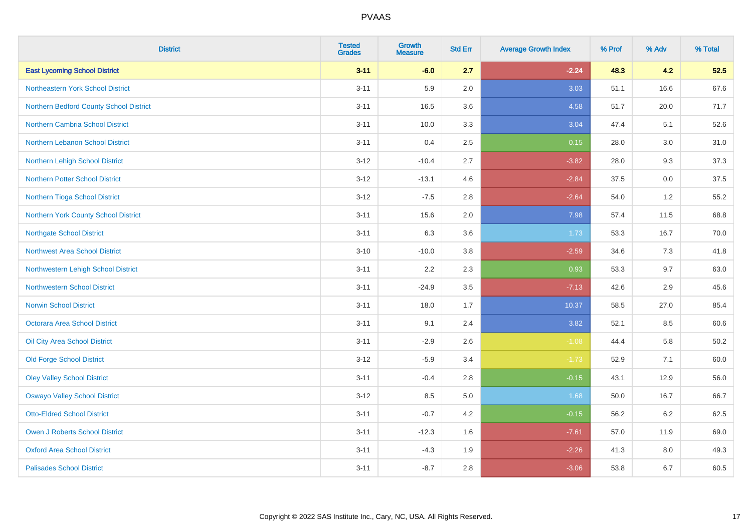| <b>District</b>                         | <b>Tested</b><br><b>Grades</b> | <b>Growth</b><br><b>Measure</b> | <b>Std Err</b> | <b>Average Growth Index</b> | % Prof | % Adv | % Total  |
|-----------------------------------------|--------------------------------|---------------------------------|----------------|-----------------------------|--------|-------|----------|
| <b>East Lycoming School District</b>    | $3 - 11$                       | $-6.0$                          | 2.7            | $-2.24$                     | 48.3   | 4.2   | 52.5     |
| Northeastern York School District       | $3 - 11$                       | 5.9                             | 2.0            | 3.03                        | 51.1   | 16.6  | 67.6     |
| Northern Bedford County School District | $3 - 11$                       | 16.5                            | 3.6            | 4.58                        | 51.7   | 20.0  | 71.7     |
| <b>Northern Cambria School District</b> | $3 - 11$                       | 10.0                            | 3.3            | 3.04                        | 47.4   | 5.1   | 52.6     |
| Northern Lebanon School District        | $3 - 11$                       | 0.4                             | 2.5            | 0.15                        | 28.0   | 3.0   | 31.0     |
| Northern Lehigh School District         | $3 - 12$                       | $-10.4$                         | 2.7            | $-3.82$                     | 28.0   | 9.3   | 37.3     |
| <b>Northern Potter School District</b>  | $3 - 12$                       | $-13.1$                         | 4.6            | $-2.84$                     | 37.5   | 0.0   | 37.5     |
| Northern Tioga School District          | $3 - 12$                       | $-7.5$                          | 2.8            | $-2.64$                     | 54.0   | 1.2   | 55.2     |
| Northern York County School District    | $3 - 11$                       | 15.6                            | 2.0            | 7.98                        | 57.4   | 11.5  | 68.8     |
| <b>Northgate School District</b>        | $3 - 11$                       | 6.3                             | 3.6            | 1.73                        | 53.3   | 16.7  | 70.0     |
| <b>Northwest Area School District</b>   | $3 - 10$                       | $-10.0$                         | $3.8\,$        | $-2.59$                     | 34.6   | 7.3   | 41.8     |
| Northwestern Lehigh School District     | $3 - 11$                       | 2.2                             | 2.3            | 0.93                        | 53.3   | 9.7   | 63.0     |
| <b>Northwestern School District</b>     | $3 - 11$                       | $-24.9$                         | 3.5            | $-7.13$                     | 42.6   | 2.9   | 45.6     |
| <b>Norwin School District</b>           | $3 - 11$                       | 18.0                            | 1.7            | 10.37                       | 58.5   | 27.0  | 85.4     |
| Octorara Area School District           | $3 - 11$                       | 9.1                             | 2.4            | 3.82                        | 52.1   | 8.5   | 60.6     |
| Oil City Area School District           | $3 - 11$                       | $-2.9$                          | 2.6            | $-1.08$                     | 44.4   | 5.8   | $50.2\,$ |
| <b>Old Forge School District</b>        | $3-12$                         | $-5.9$                          | 3.4            | $-1.73$                     | 52.9   | 7.1   | 60.0     |
| <b>Oley Valley School District</b>      | $3 - 11$                       | $-0.4$                          | 2.8            | $-0.15$                     | 43.1   | 12.9  | 56.0     |
| <b>Oswayo Valley School District</b>    | $3 - 12$                       | 8.5                             | $5.0\,$        | 1.68                        | 50.0   | 16.7  | 66.7     |
| <b>Otto-Eldred School District</b>      | $3 - 11$                       | $-0.7$                          | 4.2            | $-0.15$                     | 56.2   | 6.2   | 62.5     |
| <b>Owen J Roberts School District</b>   | $3 - 11$                       | $-12.3$                         | 1.6            | $-7.61$                     | 57.0   | 11.9  | 69.0     |
| <b>Oxford Area School District</b>      | $3 - 11$                       | $-4.3$                          | 1.9            | $-2.26$                     | 41.3   | 8.0   | 49.3     |
| <b>Palisades School District</b>        | $3 - 11$                       | $-8.7$                          | 2.8            | $-3.06$                     | 53.8   | 6.7   | 60.5     |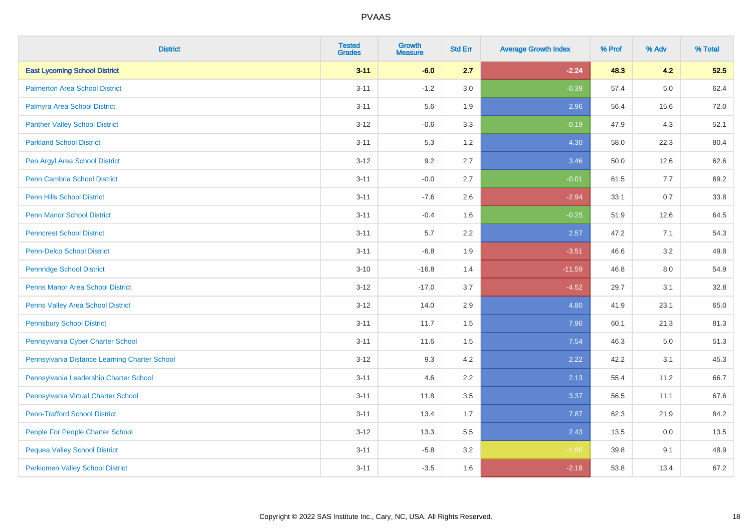| <b>District</b>                               | <b>Tested</b><br><b>Grades</b> | Growth<br><b>Measure</b> | <b>Std Err</b> | <b>Average Growth Index</b> | % Prof | % Adv   | % Total |
|-----------------------------------------------|--------------------------------|--------------------------|----------------|-----------------------------|--------|---------|---------|
| <b>East Lycoming School District</b>          | $3 - 11$                       | $-6.0$                   | 2.7            | $-2.24$                     | 48.3   | 4.2     | 52.5    |
| <b>Palmerton Area School District</b>         | $3 - 11$                       | $-1.2$                   | 3.0            | $-0.39$                     | 57.4   | $5.0\,$ | 62.4    |
| Palmyra Area School District                  | $3 - 11$                       | 5.6                      | 1.9            | 2.96                        | 56.4   | 15.6    | 72.0    |
| <b>Panther Valley School District</b>         | $3 - 12$                       | $-0.6$                   | 3.3            | $-0.19$                     | 47.9   | 4.3     | 52.1    |
| <b>Parkland School District</b>               | $3 - 11$                       | 5.3                      | 1.2            | 4.30                        | 58.0   | 22.3    | 80.4    |
| Pen Argyl Area School District                | $3 - 12$                       | 9.2                      | 2.7            | 3.46                        | 50.0   | 12.6    | 62.6    |
| Penn Cambria School District                  | $3 - 11$                       | $-0.0$                   | 2.7            | $-0.01$                     | 61.5   | 7.7     | 69.2    |
| <b>Penn Hills School District</b>             | $3 - 11$                       | $-7.6$                   | 2.6            | $-2.94$                     | 33.1   | 0.7     | 33.8    |
| <b>Penn Manor School District</b>             | $3 - 11$                       | $-0.4$                   | 1.6            | $-0.25$                     | 51.9   | 12.6    | 64.5    |
| <b>Penncrest School District</b>              | $3 - 11$                       | $5.7\,$                  | 2.2            | 2.57                        | 47.2   | 7.1     | 54.3    |
| <b>Penn-Delco School District</b>             | $3 - 11$                       | $-6.8$                   | 1.9            | $-3.51$                     | 46.6   | 3.2     | 49.8    |
| <b>Pennridge School District</b>              | $3 - 10$                       | $-16.8$                  | 1.4            | $-11.59$                    | 46.8   | 8.0     | 54.9    |
| Penns Manor Area School District              | $3 - 12$                       | $-17.0$                  | 3.7            | $-4.52$                     | 29.7   | 3.1     | 32.8    |
| Penns Valley Area School District             | $3 - 12$                       | 14.0                     | 2.9            | 4.80                        | 41.9   | 23.1    | 65.0    |
| <b>Pennsbury School District</b>              | $3 - 11$                       | 11.7                     | 1.5            | 7.90                        | 60.1   | 21.3    | 81.3    |
| Pennsylvania Cyber Charter School             | $3 - 11$                       | 11.6                     | 1.5            | 7.54                        | 46.3   | $5.0\,$ | 51.3    |
| Pennsylvania Distance Learning Charter School | $3 - 12$                       | 9.3                      | 4.2            | 2.22                        | 42.2   | 3.1     | 45.3    |
| Pennsylvania Leadership Charter School        | $3 - 11$                       | 4.6                      | 2.2            | 2.13                        | 55.4   | 11.2    | 66.7    |
| Pennsylvania Virtual Charter School           | $3 - 11$                       | 11.8                     | 3.5            | 3.37                        | 56.5   | 11.1    | 67.6    |
| <b>Penn-Trafford School District</b>          | $3 - 11$                       | 13.4                     | 1.7            | 7.87                        | 62.3   | 21.9    | 84.2    |
| People For People Charter School              | $3 - 12$                       | 13.3                     | 5.5            | 2.43                        | 13.5   | 0.0     | 13.5    |
| <b>Pequea Valley School District</b>          | $3 - 11$                       | $-5.8$                   | 3.2            | $-1.80$                     | 39.8   | 9.1     | 48.9    |
| <b>Perkiomen Valley School District</b>       | $3 - 11$                       | $-3.5$                   | 1.6            | $-2.18$                     | 53.8   | 13.4    | 67.2    |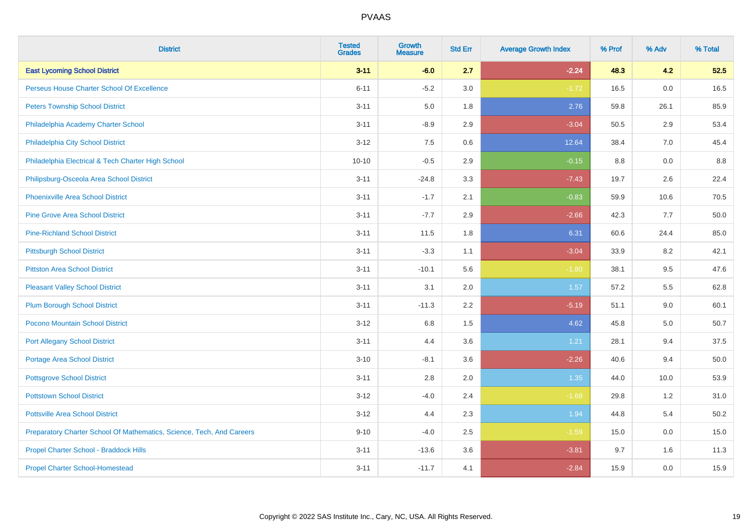| <b>District</b>                                                       | <b>Tested</b><br><b>Grades</b> | <b>Growth</b><br><b>Measure</b> | <b>Std Err</b> | <b>Average Growth Index</b> | % Prof | % Adv | % Total |
|-----------------------------------------------------------------------|--------------------------------|---------------------------------|----------------|-----------------------------|--------|-------|---------|
| <b>East Lycoming School District</b>                                  | $3 - 11$                       | $-6.0$                          | 2.7            | $-2.24$                     | 48.3   | 4.2   | 52.5    |
| Perseus House Charter School Of Excellence                            | $6 - 11$                       | $-5.2$                          | 3.0            | $-1.72$                     | 16.5   | 0.0   | 16.5    |
| <b>Peters Township School District</b>                                | $3 - 11$                       | 5.0                             | 1.8            | 2.76                        | 59.8   | 26.1  | 85.9    |
| Philadelphia Academy Charter School                                   | $3 - 11$                       | $-8.9$                          | 2.9            | $-3.04$                     | 50.5   | 2.9   | 53.4    |
| Philadelphia City School District                                     | $3 - 12$                       | 7.5                             | 0.6            | 12.64                       | 38.4   | 7.0   | 45.4    |
| Philadelphia Electrical & Tech Charter High School                    | $10 - 10$                      | $-0.5$                          | 2.9            | $-0.15$                     | 8.8    | 0.0   | 8.8     |
| Philipsburg-Osceola Area School District                              | $3 - 11$                       | $-24.8$                         | 3.3            | $-7.43$                     | 19.7   | 2.6   | 22.4    |
| <b>Phoenixville Area School District</b>                              | $3 - 11$                       | $-1.7$                          | 2.1            | $-0.83$                     | 59.9   | 10.6  | 70.5    |
| <b>Pine Grove Area School District</b>                                | $3 - 11$                       | $-7.7$                          | 2.9            | $-2.66$                     | 42.3   | 7.7   | 50.0    |
| <b>Pine-Richland School District</b>                                  | $3 - 11$                       | 11.5                            | 1.8            | 6.31                        | 60.6   | 24.4  | 85.0    |
| <b>Pittsburgh School District</b>                                     | $3 - 11$                       | $-3.3$                          | 1.1            | $-3.04$                     | 33.9   | 8.2   | 42.1    |
| <b>Pittston Area School District</b>                                  | $3 - 11$                       | $-10.1$                         | 5.6            | $-1.80$                     | 38.1   | 9.5   | 47.6    |
| <b>Pleasant Valley School District</b>                                | $3 - 11$                       | 3.1                             | 2.0            | 1.57                        | 57.2   | 5.5   | 62.8    |
| <b>Plum Borough School District</b>                                   | $3 - 11$                       | $-11.3$                         | 2.2            | $-5.19$                     | 51.1   | 9.0   | 60.1    |
| Pocono Mountain School District                                       | $3 - 12$                       | 6.8                             | 1.5            | 4.62                        | 45.8   | 5.0   | 50.7    |
| <b>Port Allegany School District</b>                                  | $3 - 11$                       | 4.4                             | 3.6            | 1.21                        | 28.1   | 9.4   | 37.5    |
| <b>Portage Area School District</b>                                   | $3 - 10$                       | $-8.1$                          | 3.6            | $-2.26$                     | 40.6   | 9.4   | 50.0    |
| <b>Pottsgrove School District</b>                                     | $3 - 11$                       | 2.8                             | 2.0            | 1.35                        | 44.0   | 10.0  | 53.9    |
| <b>Pottstown School District</b>                                      | $3 - 12$                       | $-4.0$                          | 2.4            | $-1.68$                     | 29.8   | 1.2   | 31.0    |
| <b>Pottsville Area School District</b>                                | $3 - 12$                       | 4.4                             | 2.3            | 1.94                        | 44.8   | 5.4   | 50.2    |
| Preparatory Charter School Of Mathematics, Science, Tech, And Careers | $9 - 10$                       | $-4.0$                          | $2.5\,$        | $-1.59$                     | 15.0   | 0.0   | 15.0    |
| Propel Charter School - Braddock Hills                                | $3 - 11$                       | $-13.6$                         | 3.6            | $-3.81$                     | 9.7    | 1.6   | 11.3    |
| <b>Propel Charter School-Homestead</b>                                | $3 - 11$                       | $-11.7$                         | 4.1            | $-2.84$                     | 15.9   | 0.0   | 15.9    |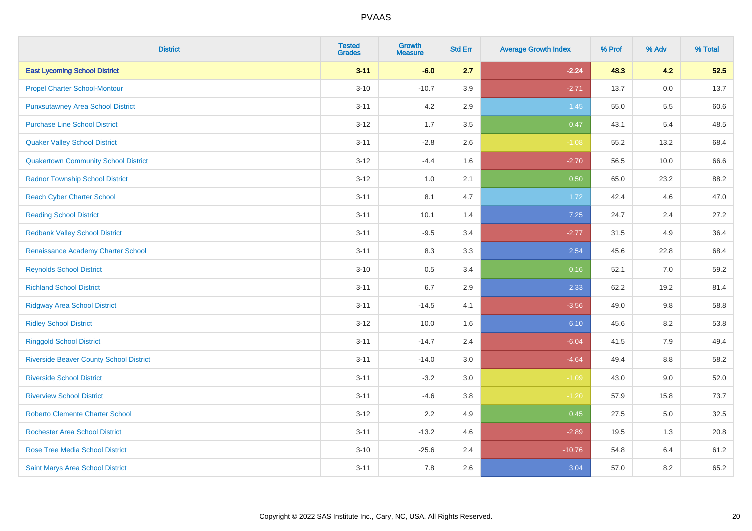| <b>District</b>                                | <b>Tested</b><br><b>Grades</b> | <b>Growth</b><br><b>Measure</b> | <b>Std Err</b> | <b>Average Growth Index</b> | % Prof | % Adv | % Total |
|------------------------------------------------|--------------------------------|---------------------------------|----------------|-----------------------------|--------|-------|---------|
| <b>East Lycoming School District</b>           | $3 - 11$                       | $-6.0$                          | 2.7            | $-2.24$                     | 48.3   | 4.2   | 52.5    |
| <b>Propel Charter School-Montour</b>           | $3 - 10$                       | $-10.7$                         | 3.9            | $-2.71$                     | 13.7   | 0.0   | 13.7    |
| <b>Punxsutawney Area School District</b>       | $3 - 11$                       | 4.2                             | 2.9            | 1.45                        | 55.0   | 5.5   | 60.6    |
| <b>Purchase Line School District</b>           | $3-12$                         | 1.7                             | 3.5            | 0.47                        | 43.1   | 5.4   | 48.5    |
| <b>Quaker Valley School District</b>           | $3 - 11$                       | $-2.8$                          | 2.6            | $-1.08$                     | 55.2   | 13.2  | 68.4    |
| <b>Quakertown Community School District</b>    | $3 - 12$                       | $-4.4$                          | 1.6            | $-2.70$                     | 56.5   | 10.0  | 66.6    |
| <b>Radnor Township School District</b>         | $3 - 12$                       | 1.0                             | 2.1            | 0.50                        | 65.0   | 23.2  | 88.2    |
| <b>Reach Cyber Charter School</b>              | $3 - 11$                       | 8.1                             | 4.7            | 1.72                        | 42.4   | 4.6   | 47.0    |
| <b>Reading School District</b>                 | $3 - 11$                       | 10.1                            | 1.4            | 7.25                        | 24.7   | 2.4   | 27.2    |
| <b>Redbank Valley School District</b>          | $3 - 11$                       | $-9.5$                          | 3.4            | $-2.77$                     | 31.5   | 4.9   | 36.4    |
| Renaissance Academy Charter School             | $3 - 11$                       | 8.3                             | 3.3            | 2.54                        | 45.6   | 22.8  | 68.4    |
| <b>Reynolds School District</b>                | $3 - 10$                       | 0.5                             | 3.4            | 0.16                        | 52.1   | 7.0   | 59.2    |
| <b>Richland School District</b>                | $3 - 11$                       | 6.7                             | 2.9            | 2.33                        | 62.2   | 19.2  | 81.4    |
| <b>Ridgway Area School District</b>            | $3 - 11$                       | $-14.5$                         | 4.1            | $-3.56$                     | 49.0   | 9.8   | 58.8    |
| <b>Ridley School District</b>                  | $3 - 12$                       | 10.0                            | 1.6            | 6.10                        | 45.6   | 8.2   | 53.8    |
| <b>Ringgold School District</b>                | $3 - 11$                       | $-14.7$                         | 2.4            | $-6.04$                     | 41.5   | 7.9   | 49.4    |
| <b>Riverside Beaver County School District</b> | $3 - 11$                       | $-14.0$                         | 3.0            | $-4.64$                     | 49.4   | 8.8   | 58.2    |
| <b>Riverside School District</b>               | $3 - 11$                       | $-3.2$                          | 3.0            | $-1.09$                     | 43.0   | 9.0   | 52.0    |
| <b>Riverview School District</b>               | $3 - 11$                       | $-4.6$                          | 3.8            | $-1.20$                     | 57.9   | 15.8  | 73.7    |
| <b>Roberto Clemente Charter School</b>         | $3 - 12$                       | 2.2                             | 4.9            | 0.45                        | 27.5   | 5.0   | 32.5    |
| <b>Rochester Area School District</b>          | $3 - 11$                       | $-13.2$                         | 4.6            | $-2.89$                     | 19.5   | 1.3   | 20.8    |
| <b>Rose Tree Media School District</b>         | $3 - 10$                       | $-25.6$                         | 2.4            | $-10.76$                    | 54.8   | 6.4   | 61.2    |
| Saint Marys Area School District               | $3 - 11$                       | 7.8                             | 2.6            | 3.04                        | 57.0   | 8.2   | 65.2    |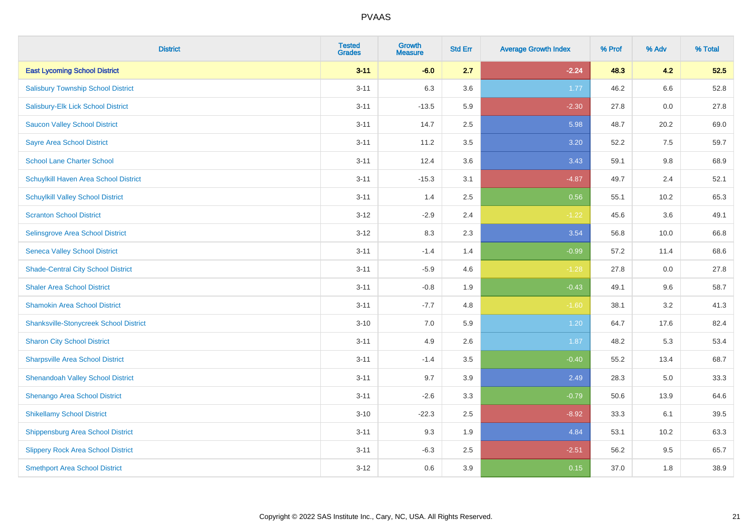| <b>District</b>                               | <b>Tested</b><br><b>Grades</b> | <b>Growth</b><br><b>Measure</b> | <b>Std Err</b> | <b>Average Growth Index</b> | % Prof | % Adv   | % Total |
|-----------------------------------------------|--------------------------------|---------------------------------|----------------|-----------------------------|--------|---------|---------|
| <b>East Lycoming School District</b>          | $3 - 11$                       | $-6.0$                          | 2.7            | $-2.24$                     | 48.3   | 4.2     | 52.5    |
| <b>Salisbury Township School District</b>     | $3 - 11$                       | 6.3                             | 3.6            | 1.77                        | 46.2   | $6.6\,$ | 52.8    |
| Salisbury-Elk Lick School District            | $3 - 11$                       | $-13.5$                         | 5.9            | $-2.30$                     | 27.8   | 0.0     | 27.8    |
| <b>Saucon Valley School District</b>          | $3 - 11$                       | 14.7                            | 2.5            | 5.98                        | 48.7   | 20.2    | 69.0    |
| <b>Sayre Area School District</b>             | $3 - 11$                       | 11.2                            | 3.5            | 3.20                        | 52.2   | 7.5     | 59.7    |
| <b>School Lane Charter School</b>             | $3 - 11$                       | 12.4                            | 3.6            | 3.43                        | 59.1   | 9.8     | 68.9    |
| Schuylkill Haven Area School District         | $3 - 11$                       | $-15.3$                         | 3.1            | $-4.87$                     | 49.7   | 2.4     | 52.1    |
| <b>Schuylkill Valley School District</b>      | $3 - 11$                       | 1.4                             | 2.5            | 0.56                        | 55.1   | 10.2    | 65.3    |
| <b>Scranton School District</b>               | $3 - 12$                       | $-2.9$                          | 2.4            | $-1.22$                     | 45.6   | 3.6     | 49.1    |
| <b>Selinsgrove Area School District</b>       | $3 - 12$                       | 8.3                             | 2.3            | 3.54                        | 56.8   | 10.0    | 66.8    |
| <b>Seneca Valley School District</b>          | $3 - 11$                       | $-1.4$                          | 1.4            | $-0.99$                     | 57.2   | 11.4    | 68.6    |
| <b>Shade-Central City School District</b>     | $3 - 11$                       | $-5.9$                          | 4.6            | $-1.28$                     | 27.8   | 0.0     | 27.8    |
| <b>Shaler Area School District</b>            | $3 - 11$                       | $-0.8$                          | 1.9            | $-0.43$                     | 49.1   | 9.6     | 58.7    |
| <b>Shamokin Area School District</b>          | $3 - 11$                       | $-7.7$                          | 4.8            | $-1.60$                     | 38.1   | 3.2     | 41.3    |
| <b>Shanksville-Stonycreek School District</b> | $3 - 10$                       | 7.0                             | 5.9            | 1.20                        | 64.7   | 17.6    | 82.4    |
| <b>Sharon City School District</b>            | $3 - 11$                       | 4.9                             | 2.6            | 1.87                        | 48.2   | 5.3     | 53.4    |
| <b>Sharpsville Area School District</b>       | $3 - 11$                       | $-1.4$                          | 3.5            | $-0.40$                     | 55.2   | 13.4    | 68.7    |
| <b>Shenandoah Valley School District</b>      | $3 - 11$                       | 9.7                             | 3.9            | 2.49                        | 28.3   | 5.0     | 33.3    |
| Shenango Area School District                 | $3 - 11$                       | $-2.6$                          | 3.3            | $-0.79$                     | 50.6   | 13.9    | 64.6    |
| <b>Shikellamy School District</b>             | $3 - 10$                       | $-22.3$                         | 2.5            | $-8.92$                     | 33.3   | 6.1     | 39.5    |
| <b>Shippensburg Area School District</b>      | $3 - 11$                       | 9.3                             | 1.9            | 4.84                        | 53.1   | 10.2    | 63.3    |
| <b>Slippery Rock Area School District</b>     | $3 - 11$                       | $-6.3$                          | 2.5            | $-2.51$                     | 56.2   | 9.5     | 65.7    |
| <b>Smethport Area School District</b>         | $3 - 12$                       | 0.6                             | 3.9            | 0.15                        | 37.0   | 1.8     | 38.9    |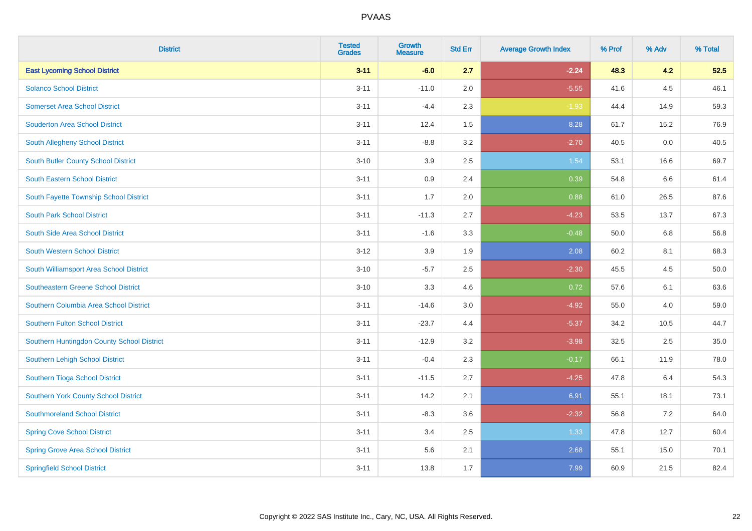| <b>District</b>                            | <b>Tested</b><br><b>Grades</b> | <b>Growth</b><br><b>Measure</b> | <b>Std Err</b> | <b>Average Growth Index</b> | % Prof | % Adv | % Total |
|--------------------------------------------|--------------------------------|---------------------------------|----------------|-----------------------------|--------|-------|---------|
| <b>East Lycoming School District</b>       | $3 - 11$                       | $-6.0$                          | 2.7            | $-2.24$                     | 48.3   | 4.2   | 52.5    |
| <b>Solanco School District</b>             | $3 - 11$                       | $-11.0$                         | 2.0            | $-5.55$                     | 41.6   | 4.5   | 46.1    |
| <b>Somerset Area School District</b>       | $3 - 11$                       | $-4.4$                          | 2.3            | $-1.93$                     | 44.4   | 14.9  | 59.3    |
| <b>Souderton Area School District</b>      | $3 - 11$                       | 12.4                            | 1.5            | 8.28                        | 61.7   | 15.2  | 76.9    |
| South Allegheny School District            | $3 - 11$                       | $-8.8$                          | 3.2            | $-2.70$                     | 40.5   | 0.0   | 40.5    |
| <b>South Butler County School District</b> | $3 - 10$                       | 3.9                             | 2.5            | 1.54                        | 53.1   | 16.6  | 69.7    |
| <b>South Eastern School District</b>       | $3 - 11$                       | 0.9                             | 2.4            | 0.39                        | 54.8   | 6.6   | 61.4    |
| South Fayette Township School District     | $3 - 11$                       | 1.7                             | 2.0            | 0.88                        | 61.0   | 26.5  | 87.6    |
| <b>South Park School District</b>          | $3 - 11$                       | $-11.3$                         | 2.7            | $-4.23$                     | 53.5   | 13.7  | 67.3    |
| South Side Area School District            | $3 - 11$                       | $-1.6$                          | 3.3            | $-0.48$                     | 50.0   | 6.8   | 56.8    |
| South Western School District              | $3-12$                         | 3.9                             | 1.9            | 2.08                        | 60.2   | 8.1   | 68.3    |
| South Williamsport Area School District    | $3 - 10$                       | $-5.7$                          | 2.5            | $-2.30$                     | 45.5   | 4.5   | 50.0    |
| Southeastern Greene School District        | $3 - 10$                       | 3.3                             | 4.6            | 0.72                        | 57.6   | 6.1   | 63.6    |
| Southern Columbia Area School District     | $3 - 11$                       | $-14.6$                         | 3.0            | $-4.92$                     | 55.0   | 4.0   | 59.0    |
| <b>Southern Fulton School District</b>     | $3 - 11$                       | $-23.7$                         | 4.4            | $-5.37$                     | 34.2   | 10.5  | 44.7    |
| Southern Huntingdon County School District | $3 - 11$                       | $-12.9$                         | 3.2            | $-3.98$                     | 32.5   | 2.5   | 35.0    |
| Southern Lehigh School District            | $3 - 11$                       | $-0.4$                          | 2.3            | $-0.17$                     | 66.1   | 11.9  | 78.0    |
| Southern Tioga School District             | $3 - 11$                       | $-11.5$                         | 2.7            | $-4.25$                     | 47.8   | 6.4   | 54.3    |
| Southern York County School District       | $3 - 11$                       | 14.2                            | 2.1            | 6.91                        | 55.1   | 18.1  | 73.1    |
| <b>Southmoreland School District</b>       | $3 - 11$                       | $-8.3$                          | 3.6            | $-2.32$                     | 56.8   | 7.2   | 64.0    |
| <b>Spring Cove School District</b>         | $3 - 11$                       | 3.4                             | 2.5            | 1.33                        | 47.8   | 12.7  | 60.4    |
| <b>Spring Grove Area School District</b>   | $3 - 11$                       | 5.6                             | 2.1            | 2.68                        | 55.1   | 15.0  | 70.1    |
| <b>Springfield School District</b>         | $3 - 11$                       | 13.8                            | 1.7            | 7.99                        | 60.9   | 21.5  | 82.4    |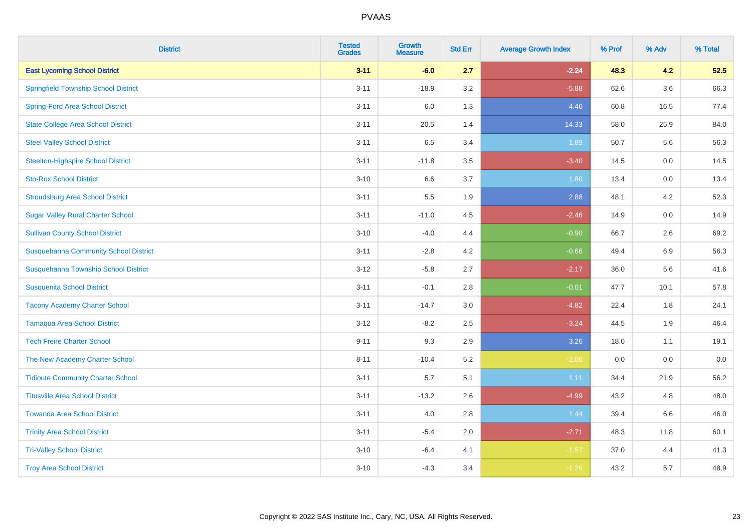| <b>District</b>                              | <b>Tested</b><br><b>Grades</b> | <b>Growth</b><br><b>Measure</b> | <b>Std Err</b> | <b>Average Growth Index</b> | % Prof | % Adv   | % Total |
|----------------------------------------------|--------------------------------|---------------------------------|----------------|-----------------------------|--------|---------|---------|
| <b>East Lycoming School District</b>         | $3 - 11$                       | $-6.0$                          | 2.7            | $-2.24$                     | 48.3   | 4.2     | 52.5    |
| <b>Springfield Township School District</b>  | $3 - 11$                       | $-18.9$                         | 3.2            | $-5.88$                     | 62.6   | $3.6\,$ | 66.3    |
| <b>Spring-Ford Area School District</b>      | $3 - 11$                       | 6.0                             | 1.3            | 4.46                        | 60.8   | 16.5    | 77.4    |
| <b>State College Area School District</b>    | $3 - 11$                       | 20.5                            | 1.4            | 14.33                       | 58.0   | 25.9    | 84.0    |
| <b>Steel Valley School District</b>          | $3 - 11$                       | 6.5                             | 3.4            | 1.89                        | 50.7   | 5.6     | 56.3    |
| <b>Steelton-Highspire School District</b>    | $3 - 11$                       | $-11.8$                         | 3.5            | $-3.40$                     | 14.5   | 0.0     | 14.5    |
| <b>Sto-Rox School District</b>               | $3 - 10$                       | 6.6                             | 3.7            | 1.80                        | 13.4   | 0.0     | 13.4    |
| <b>Stroudsburg Area School District</b>      | $3 - 11$                       | 5.5                             | 1.9            | 2.88                        | 48.1   | 4.2     | 52.3    |
| <b>Sugar Valley Rural Charter School</b>     | $3 - 11$                       | $-11.0$                         | 4.5            | $-2.46$                     | 14.9   | 0.0     | 14.9    |
| <b>Sullivan County School District</b>       | $3 - 10$                       | $-4.0$                          | 4.4            | $-0.90$                     | 66.7   | $2.6\,$ | 69.2    |
| <b>Susquehanna Community School District</b> | $3 - 11$                       | $-2.8$                          | 4.2            | $-0.66$                     | 49.4   | 6.9     | 56.3    |
| Susquehanna Township School District         | $3 - 12$                       | $-5.8$                          | 2.7            | $-2.17$                     | 36.0   | 5.6     | 41.6    |
| <b>Susquenita School District</b>            | $3 - 11$                       | $-0.1$                          | 2.8            | $-0.01$                     | 47.7   | 10.1    | 57.8    |
| <b>Tacony Academy Charter School</b>         | $3 - 11$                       | $-14.7$                         | 3.0            | $-4.82$                     | 22.4   | 1.8     | 24.1    |
| <b>Tamaqua Area School District</b>          | $3 - 12$                       | $-8.2$                          | 2.5            | $-3.24$                     | 44.5   | 1.9     | 46.4    |
| <b>Tech Freire Charter School</b>            | $9 - 11$                       | 9.3                             | 2.9            | 3.26                        | 18.0   | 1.1     | 19.1    |
| The New Academy Charter School               | $8 - 11$                       | $-10.4$                         | 5.2            | $-2.00$                     | 0.0    | 0.0     | $0.0\,$ |
| <b>Tidioute Community Charter School</b>     | $3 - 11$                       | 5.7                             | 5.1            | 1.11                        | 34.4   | 21.9    | 56.2    |
| <b>Titusville Area School District</b>       | $3 - 11$                       | $-13.2$                         | 2.6            | $-4.99$                     | 43.2   | 4.8     | 48.0    |
| <b>Towanda Area School District</b>          | $3 - 11$                       | 4.0                             | 2.8            | 1.44                        | 39.4   | 6.6     | 46.0    |
| <b>Trinity Area School District</b>          | $3 - 11$                       | $-5.4$                          | 2.0            | $-2.71$                     | 48.3   | 11.8    | 60.1    |
| <b>Tri-Valley School District</b>            | $3 - 10$                       | $-6.4$                          | 4.1            | $-1.57$                     | 37.0   | 4.4     | 41.3    |
| <b>Troy Area School District</b>             | $3 - 10$                       | $-4.3$                          | 3.4            | $-1.26$                     | 43.2   | 5.7     | 48.9    |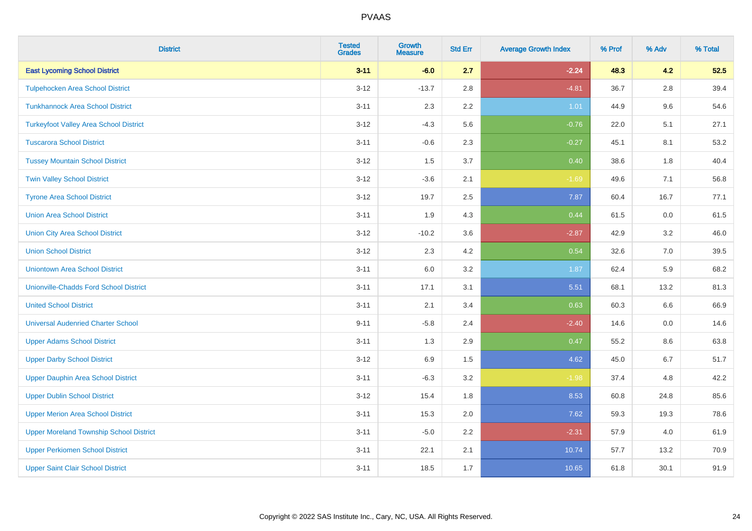| <b>District</b>                                | <b>Tested</b><br><b>Grades</b> | <b>Growth</b><br><b>Measure</b> | <b>Std Err</b> | <b>Average Growth Index</b> | % Prof | % Adv   | % Total |
|------------------------------------------------|--------------------------------|---------------------------------|----------------|-----------------------------|--------|---------|---------|
| <b>East Lycoming School District</b>           | $3 - 11$                       | $-6.0$                          | 2.7            | $-2.24$                     | 48.3   | 4.2     | 52.5    |
| <b>Tulpehocken Area School District</b>        | $3 - 12$                       | $-13.7$                         | 2.8            | $-4.81$                     | 36.7   | $2.8\,$ | 39.4    |
| <b>Tunkhannock Area School District</b>        | $3 - 11$                       | 2.3                             | 2.2            | 1.01                        | 44.9   | 9.6     | 54.6    |
| <b>Turkeyfoot Valley Area School District</b>  | $3 - 12$                       | $-4.3$                          | 5.6            | $-0.76$                     | 22.0   | 5.1     | 27.1    |
| <b>Tuscarora School District</b>               | $3 - 11$                       | $-0.6$                          | 2.3            | $-0.27$                     | 45.1   | 8.1     | 53.2    |
| <b>Tussey Mountain School District</b>         | $3 - 12$                       | 1.5                             | 3.7            | 0.40                        | 38.6   | 1.8     | 40.4    |
| <b>Twin Valley School District</b>             | $3 - 12$                       | $-3.6$                          | 2.1            | $-1.69$                     | 49.6   | 7.1     | 56.8    |
| <b>Tyrone Area School District</b>             | $3 - 12$                       | 19.7                            | 2.5            | 7.87                        | 60.4   | 16.7    | 77.1    |
| <b>Union Area School District</b>              | $3 - 11$                       | 1.9                             | 4.3            | 0.44                        | 61.5   | 0.0     | 61.5    |
| <b>Union City Area School District</b>         | $3 - 12$                       | $-10.2$                         | 3.6            | $-2.87$                     | 42.9   | 3.2     | 46.0    |
| <b>Union School District</b>                   | $3 - 12$                       | 2.3                             | 4.2            | 0.54                        | 32.6   | 7.0     | 39.5    |
| <b>Uniontown Area School District</b>          | $3 - 11$                       | 6.0                             | 3.2            | 1.87                        | 62.4   | 5.9     | 68.2    |
| <b>Unionville-Chadds Ford School District</b>  | $3 - 11$                       | 17.1                            | 3.1            | 5.51                        | 68.1   | 13.2    | 81.3    |
| <b>United School District</b>                  | $3 - 11$                       | 2.1                             | 3.4            | 0.63                        | 60.3   | 6.6     | 66.9    |
| <b>Universal Audenried Charter School</b>      | $9 - 11$                       | $-5.8$                          | 2.4            | $-2.40$                     | 14.6   | 0.0     | 14.6    |
| <b>Upper Adams School District</b>             | $3 - 11$                       | 1.3                             | 2.9            | 0.47                        | 55.2   | $8.6\,$ | 63.8    |
| <b>Upper Darby School District</b>             | $3 - 12$                       | 6.9                             | 1.5            | 4.62                        | 45.0   | 6.7     | 51.7    |
| <b>Upper Dauphin Area School District</b>      | $3 - 11$                       | $-6.3$                          | 3.2            | $-1.98$                     | 37.4   | 4.8     | 42.2    |
| <b>Upper Dublin School District</b>            | $3 - 12$                       | 15.4                            | 1.8            | 8.53                        | 60.8   | 24.8    | 85.6    |
| <b>Upper Merion Area School District</b>       | $3 - 11$                       | 15.3                            | 2.0            | 7.62                        | 59.3   | 19.3    | 78.6    |
| <b>Upper Moreland Township School District</b> | $3 - 11$                       | $-5.0$                          | 2.2            | $-2.31$                     | 57.9   | 4.0     | 61.9    |
| <b>Upper Perkiomen School District</b>         | $3 - 11$                       | 22.1                            | 2.1            | 10.74                       | 57.7   | 13.2    | 70.9    |
| <b>Upper Saint Clair School District</b>       | $3 - 11$                       | 18.5                            | 1.7            | 10.65                       | 61.8   | 30.1    | 91.9    |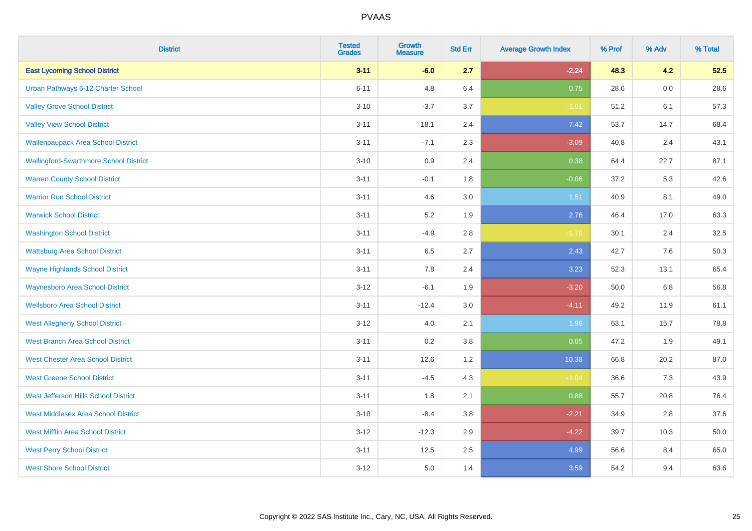| <b>District</b>                               | <b>Tested</b><br><b>Grades</b> | <b>Growth</b><br><b>Measure</b> | <b>Std Err</b> | <b>Average Growth Index</b> | % Prof | % Adv   | % Total |
|-----------------------------------------------|--------------------------------|---------------------------------|----------------|-----------------------------|--------|---------|---------|
| <b>East Lycoming School District</b>          | $3 - 11$                       | $-6.0$                          | 2.7            | $-2.24$                     | 48.3   | 4.2     | 52.5    |
| Urban Pathways 6-12 Charter School            | $6 - 11$                       | 4.8                             | 6.4            | 0.75                        | 28.6   | $0.0\,$ | 28.6    |
| <b>Valley Grove School District</b>           | $3 - 10$                       | $-3.7$                          | 3.7            | $-1.01$                     | 51.2   | 6.1     | 57.3    |
| <b>Valley View School District</b>            | $3 - 11$                       | 18.1                            | 2.4            | 7.42                        | 53.7   | 14.7    | 68.4    |
| <b>Wallenpaupack Area School District</b>     | $3 - 11$                       | $-7.1$                          | 2.3            | $-3.09$                     | 40.8   | 2.4     | 43.1    |
| <b>Wallingford-Swarthmore School District</b> | $3 - 10$                       | 0.9                             | 2.4            | 0.38                        | 64.4   | 22.7    | 87.1    |
| <b>Warren County School District</b>          | $3 - 11$                       | $-0.1$                          | 1.8            | $-0.06$                     | 37.2   | 5.3     | 42.6    |
| <b>Warrior Run School District</b>            | $3 - 11$                       | 4.6                             | 3.0            | $1.51$                      | 40.9   | 8.1     | 49.0    |
| <b>Warwick School District</b>                | $3 - 11$                       | 5.2                             | 1.9            | 2.76                        | 46.4   | 17.0    | 63.3    |
| <b>Washington School District</b>             | $3 - 11$                       | $-4.9$                          | 2.8            | $-1.76$                     | 30.1   | 2.4     | 32.5    |
| <b>Wattsburg Area School District</b>         | $3 - 11$                       | 6.5                             | 2.7            | 2.43                        | 42.7   | 7.6     | 50.3    |
| <b>Wayne Highlands School District</b>        | $3 - 11$                       | 7.8                             | 2.4            | 3.23                        | 52.3   | 13.1    | 65.4    |
| <b>Waynesboro Area School District</b>        | $3 - 12$                       | $-6.1$                          | 1.9            | $-3.20$                     | 50.0   | 6.8     | 56.8    |
| <b>Wellsboro Area School District</b>         | $3 - 11$                       | $-12.4$                         | 3.0            | $-4.11$                     | 49.2   | 11.9    | 61.1    |
| <b>West Allegheny School District</b>         | $3 - 12$                       | 4.0                             | 2.1            | 1.96                        | 63.1   | 15.7    | 78.8    |
| <b>West Branch Area School District</b>       | $3 - 11$                       | 0.2                             | 3.8            | 0.05                        | 47.2   | 1.9     | 49.1    |
| <b>West Chester Area School District</b>      | $3 - 11$                       | 12.6                            | 1.2            | 10.38                       | 66.8   | 20.2    | 87.0    |
| <b>West Greene School District</b>            | $3 - 11$                       | $-4.5$                          | 4.3            | $-1.04$                     | 36.6   | 7.3     | 43.9    |
| West Jefferson Hills School District          | $3 - 11$                       | 1.8                             | 2.1            | 0.88                        | 55.7   | 20.8    | 76.4    |
| <b>West Middlesex Area School District</b>    | $3 - 10$                       | $-8.4$                          | $3.8\,$        | $-2.21$                     | 34.9   | 2.8     | 37.6    |
| <b>West Mifflin Area School District</b>      | $3 - 12$                       | $-12.3$                         | 2.9            | $-4.22$                     | 39.7   | 10.3    | 50.0    |
| <b>West Perry School District</b>             | $3 - 11$                       | 12.5                            | 2.5            | 4.99                        | 56.6   | 8.4     | 65.0    |
| <b>West Shore School District</b>             | $3 - 12$                       | 5.0                             | 1.4            | 3.59                        | 54.2   | 9.4     | 63.6    |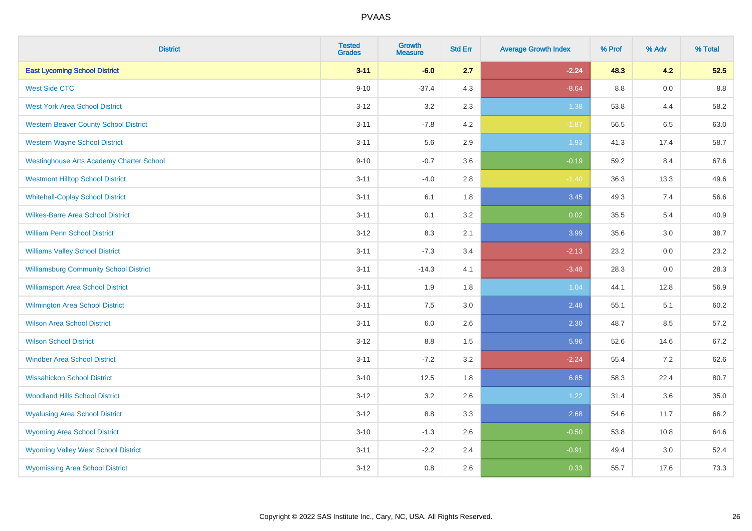| <b>District</b>                                 | <b>Tested</b><br><b>Grades</b> | <b>Growth</b><br><b>Measure</b> | <b>Std Err</b> | <b>Average Growth Index</b> | % Prof | % Adv | % Total |
|-------------------------------------------------|--------------------------------|---------------------------------|----------------|-----------------------------|--------|-------|---------|
| <b>East Lycoming School District</b>            | $3 - 11$                       | $-6.0$                          | 2.7            | $-2.24$                     | 48.3   | 4.2   | 52.5    |
| <b>West Side CTC</b>                            | $9 - 10$                       | $-37.4$                         | 4.3            | $-8.64$                     | 8.8    | 0.0   | 8.8     |
| <b>West York Area School District</b>           | $3 - 12$                       | 3.2                             | 2.3            | 1.38                        | 53.8   | 4.4   | 58.2    |
| <b>Western Beaver County School District</b>    | $3 - 11$                       | $-7.8$                          | 4.2            | $-1.87$                     | 56.5   | 6.5   | 63.0    |
| <b>Western Wayne School District</b>            | $3 - 11$                       | 5.6                             | 2.9            | 1.93                        | 41.3   | 17.4  | 58.7    |
| <b>Westinghouse Arts Academy Charter School</b> | $9 - 10$                       | $-0.7$                          | 3.6            | $-0.19$                     | 59.2   | 8.4   | 67.6    |
| <b>Westmont Hilltop School District</b>         | $3 - 11$                       | $-4.0$                          | 2.8            | $-1.40$                     | 36.3   | 13.3  | 49.6    |
| <b>Whitehall-Coplay School District</b>         | $3 - 11$                       | 6.1                             | 1.8            | 3.45                        | 49.3   | 7.4   | 56.6    |
| <b>Wilkes-Barre Area School District</b>        | $3 - 11$                       | 0.1                             | 3.2            | 0.02                        | 35.5   | 5.4   | 40.9    |
| <b>William Penn School District</b>             | $3-12$                         | 8.3                             | 2.1            | 3.99                        | 35.6   | 3.0   | 38.7    |
| <b>Williams Valley School District</b>          | $3 - 11$                       | $-7.3$                          | 3.4            | $-2.13$                     | 23.2   | 0.0   | 23.2    |
| <b>Williamsburg Community School District</b>   | $3 - 11$                       | $-14.3$                         | 4.1            | $-3.48$                     | 28.3   | 0.0   | 28.3    |
| <b>Williamsport Area School District</b>        | $3 - 11$                       | 1.9                             | 1.8            | 1.04                        | 44.1   | 12.8  | 56.9    |
| <b>Wilmington Area School District</b>          | $3 - 11$                       | $7.5\,$                         | 3.0            | 2.48                        | 55.1   | 5.1   | 60.2    |
| <b>Wilson Area School District</b>              | $3 - 11$                       | 6.0                             | 2.6            | 2.30                        | 48.7   | 8.5   | 57.2    |
| <b>Wilson School District</b>                   | $3 - 12$                       | 8.8                             | 1.5            | 5.96                        | 52.6   | 14.6  | 67.2    |
| <b>Windber Area School District</b>             | $3 - 11$                       | $-7.2$                          | 3.2            | $-2.24$                     | 55.4   | 7.2   | 62.6    |
| <b>Wissahickon School District</b>              | $3 - 10$                       | 12.5                            | 1.8            | 6.85                        | 58.3   | 22.4  | 80.7    |
| <b>Woodland Hills School District</b>           | $3 - 12$                       | 3.2                             | 2.6            | 1.22                        | 31.4   | 3.6   | 35.0    |
| <b>Wyalusing Area School District</b>           | $3 - 12$                       | 8.8                             | 3.3            | 2.68                        | 54.6   | 11.7  | 66.2    |
| <b>Wyoming Area School District</b>             | $3 - 10$                       | $-1.3$                          | 2.6            | $-0.50$                     | 53.8   | 10.8  | 64.6    |
| <b>Wyoming Valley West School District</b>      | $3 - 11$                       | $-2.2$                          | 2.4            | $-0.91$                     | 49.4   | 3.0   | 52.4    |
| <b>Wyomissing Area School District</b>          | $3 - 12$                       | $0.8\,$                         | 2.6            | 0.33                        | 55.7   | 17.6  | 73.3    |